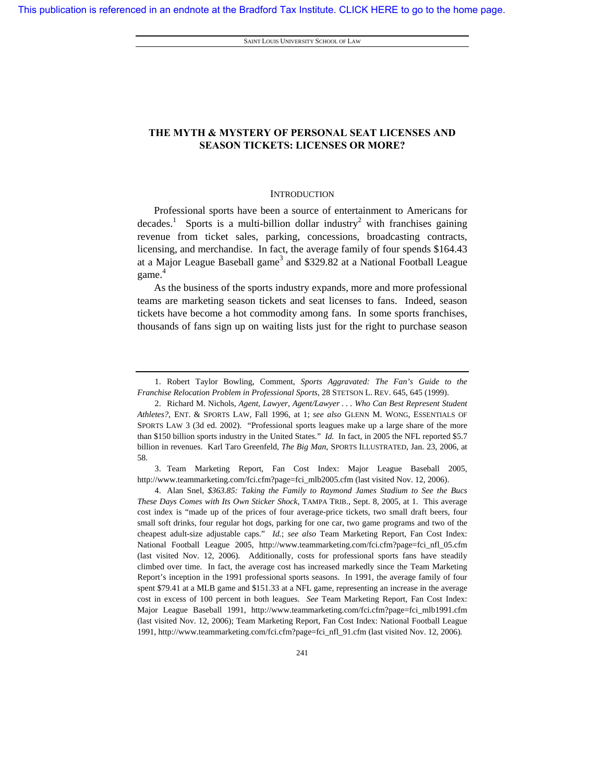SAINT LOUIS UNIVERSITY SCHOOL OF LAW

# **THE MYTH & MYSTERY OF PERSONAL SEAT LICENSES AND SEASON TICKETS: LICENSES OR MORE?**

# **INTRODUCTION**

Professional sports have been a source of entertainment to Americans for decades.<sup>1</sup> Sports is a multi-billion dollar industry<sup>2</sup> with franchises gaining revenue from ticket sales, parking, concessions, broadcasting contracts, licensing, and merchandise. In fact, the average family of four spends \$164.43 at a Major League Baseball game<sup>3</sup> and \$329.82 at a National Football League game. 4

As the business of the sports industry expands, more and more professional teams are marketing season tickets and seat licenses to fans. Indeed, season tickets have become a hot commodity among fans. In some sports franchises, thousands of fans sign up on waiting lists just for the right to purchase season

 3. Team Marketing Report, Fan Cost Index: Major League Baseball 2005, http://www.teammarketing.com/fci.cfm?page=fci\_mlb2005.cfm (last visited Nov. 12, 2006).

 <sup>1.</sup> Robert Taylor Bowling, Comment, *Sports Aggravated: The Fan's Guide to the Franchise Relocation Problem in Professional Sports*, 28 STETSON L. REV. 645, 645 (1999).

 <sup>2.</sup> Richard M. Nichols, *Agent, Lawyer, Agent/Lawyer . . . Who Can Best Represent Student Athletes?*, ENT. & SPORTS LAW, Fall 1996, at 1; *see also* GLENN M. WONG, ESSENTIALS OF SPORTS LAW 3 (3d ed. 2002). "Professional sports leagues make up a large share of the more than \$150 billion sports industry in the United States." *Id.* In fact, in 2005 the NFL reported \$5.7 billion in revenues. Karl Taro Greenfeld, *The Big Man*, SPORTS ILLUSTRATED, Jan. 23, 2006, at 58.

 <sup>4.</sup> Alan Snel, *\$363.85: Taking the Family to Raymond James Stadium to See the Bucs These Days Comes with Its Own Sticker Shock,* TAMPA TRIB., Sept. 8, 2005, at 1. This average cost index is "made up of the prices of four average-price tickets, two small draft beers, four small soft drinks, four regular hot dogs, parking for one car, two game programs and two of the cheapest adult-size adjustable caps." *Id.*; *see also* Team Marketing Report, Fan Cost Index: National Football League 2005, http://www.teammarketing.com/fci.cfm?page=fci\_nfl\_05.cfm (last visited Nov. 12, 2006). Additionally, costs for professional sports fans have steadily climbed over time. In fact, the average cost has increased markedly since the Team Marketing Report's inception in the 1991 professional sports seasons. In 1991, the average family of four spent \$79.41 at a MLB game and \$151.33 at a NFL game, representing an increase in the average cost in excess of 100 percent in both leagues. *See* Team Marketing Report, Fan Cost Index: Major League Baseball 1991, http://www.teammarketing.com/fci.cfm?page=fci\_mlb1991.cfm (last visited Nov. 12, 2006); Team Marketing Report, Fan Cost Index: National Football League 1991, http://www.teammarketing.com/fci.cfm?page=fci\_nfl\_91.cfm (last visited Nov. 12, 2006).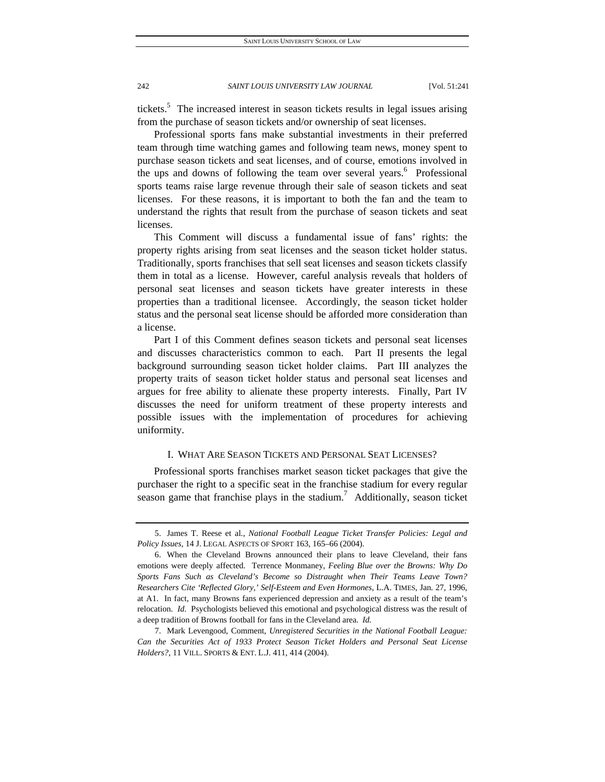tickets.<sup>5</sup> The increased interest in season tickets results in legal issues arising from the purchase of season tickets and/or ownership of seat licenses.

Professional sports fans make substantial investments in their preferred team through time watching games and following team news, money spent to purchase season tickets and seat licenses, and of course, emotions involved in the ups and downs of following the team over several years.<sup>6</sup> Professional sports teams raise large revenue through their sale of season tickets and seat licenses. For these reasons, it is important to both the fan and the team to understand the rights that result from the purchase of season tickets and seat licenses.

This Comment will discuss a fundamental issue of fans' rights: the property rights arising from seat licenses and the season ticket holder status. Traditionally, sports franchises that sell seat licenses and season tickets classify them in total as a license. However, careful analysis reveals that holders of personal seat licenses and season tickets have greater interests in these properties than a traditional licensee. Accordingly, the season ticket holder status and the personal seat license should be afforded more consideration than a license.

Part I of this Comment defines season tickets and personal seat licenses and discusses characteristics common to each. Part II presents the legal background surrounding season ticket holder claims. Part III analyzes the property traits of season ticket holder status and personal seat licenses and argues for free ability to alienate these property interests. Finally, Part IV discusses the need for uniform treatment of these property interests and possible issues with the implementation of procedures for achieving uniformity.

## I. WHAT ARE SEASON TICKETS AND PERSONAL SEAT LICENSES?

Professional sports franchises market season ticket packages that give the purchaser the right to a specific seat in the franchise stadium for every regular season game that franchise plays in the stadium.<sup>7</sup> Additionally, season ticket

 <sup>5.</sup> James T. Reese et al., *National Football League Ticket Transfer Policies: Legal and Policy Issues*, 14 J. LEGAL ASPECTS OF SPORT 163, 165–66 (2004).

 <sup>6.</sup> When the Cleveland Browns announced their plans to leave Cleveland, their fans emotions were deeply affected. Terrence Monmaney, *Feeling Blue over the Browns: Why Do Sports Fans Such as Cleveland's Become so Distraught when Their Teams Leave Town? Researchers Cite 'Reflected Glory,' Self-Esteem and Even Hormones*, L.A. TIMES, Jan. 27, 1996, at A1. In fact, many Browns fans experienced depression and anxiety as a result of the team's relocation. *Id.* Psychologists believed this emotional and psychological distress was the result of a deep tradition of Browns football for fans in the Cleveland area. *Id.* 

 <sup>7.</sup> Mark Levengood, Comment, *Unregistered Securities in the National Football League: Can the Securities Act of 1933 Protect Season Ticket Holders and Personal Seat License Holders?*, 11 VILL. SPORTS & ENT. L.J. 411, 414 (2004).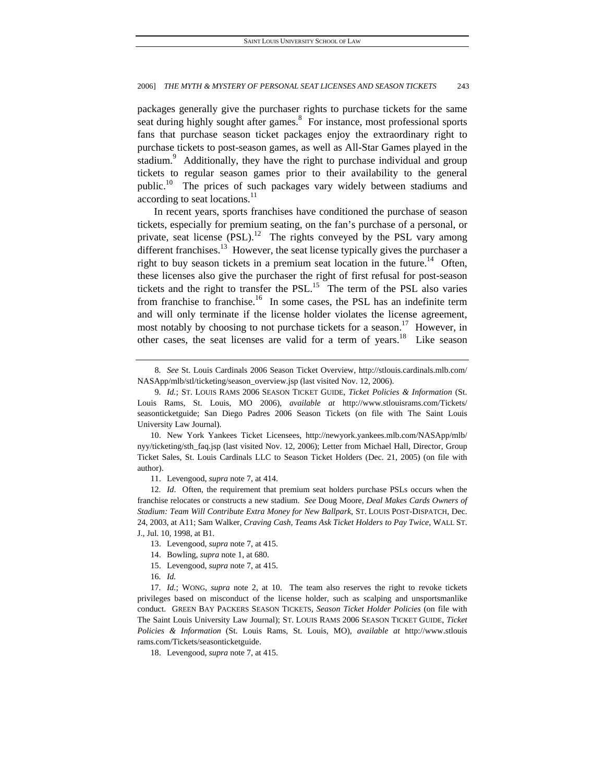packages generally give the purchaser rights to purchase tickets for the same seat during highly sought after games.<sup>8</sup> For instance, most professional sports fans that purchase season ticket packages enjoy the extraordinary right to purchase tickets to post-season games, as well as All-Star Games played in the stadium.<sup>9</sup> Additionally, they have the right to purchase individual and group tickets to regular season games prior to their availability to the general public.<sup>10</sup> The prices of such packages vary widely between stadiums and according to seat locations.<sup>11</sup>

In recent years, sports franchises have conditioned the purchase of season tickets, especially for premium seating, on the fan's purchase of a personal, or private, seat license  $(PSL)$ .<sup>12</sup> The rights conveyed by the PSL vary among different franchises.<sup>13</sup> However, the seat license typically gives the purchaser a right to buy season tickets in a premium seat location in the future.<sup>14</sup> Often, these licenses also give the purchaser the right of first refusal for post-season tickets and the right to transfer the PSL.<sup>15</sup> The term of the PSL also varies from franchise to franchise.<sup>16</sup> In some cases, the PSL has an indefinite term and will only terminate if the license holder violates the license agreement, most notably by choosing to not purchase tickets for a season.<sup>17</sup> However, in other cases, the seat licenses are valid for a term of years.<sup>18</sup> Like season

- 14. Bowling, *supra* note 1, at 680.
- 15. Levengood, *supra* note 7, at 415.

<sup>8</sup>*. See* St. Louis Cardinals 2006 Season Ticket Overview, http://stlouis.cardinals.mlb.com/ NASApp/mlb/stl/ticketing/season\_overview.jsp (last visited Nov. 12, 2006).

<sup>9</sup>*. Id.*; ST. LOUIS RAMS 2006 SEASON TICKET GUIDE, *Ticket Policies & Information* (St. Louis Rams, St. Louis, MO 2006), *available at* http://www.stlouisrams.com/Tickets/ seasonticketguide; San Diego Padres 2006 Season Tickets (on file with The Saint Louis University Law Journal).

 <sup>10.</sup> New York Yankees Ticket Licensees, http://newyork.yankees.mlb.com/NASApp/mlb/ nyy/ticketing/sth\_faq.jsp (last visited Nov. 12, 2006); Letter from Michael Hall, Director, Group Ticket Sales, St. Louis Cardinals LLC to Season Ticket Holders (Dec. 21, 2005) (on file with author).

 <sup>11.</sup> Levengood, *supra* note 7, at 414.

<sup>12</sup>*. Id*. Often, the requirement that premium seat holders purchase PSLs occurs when the franchise relocates or constructs a new stadium. *See* Doug Moore, *Deal Makes Cards Owners of Stadium: Team Will Contribute Extra Money for New Ballpark*, ST. LOUIS POST-DISPATCH, Dec. 24, 2003, at A11; Sam Walker, *Craving Cash, Teams Ask Ticket Holders to Pay Twice*, WALL ST. J., Jul. 10, 1998, at B1.

 <sup>13.</sup> Levengood, *supra* note 7, at 415.

<sup>16</sup>*. Id.*

<sup>17</sup>*. Id.*; WONG, *supra* note 2, at 10. The team also reserves the right to revoke tickets privileges based on misconduct of the license holder, such as scalping and unsportsmanlike conduct. GREEN BAY PACKERS SEASON TICKETS, *Season Ticket Holder Policies* (on file with The Saint Louis University Law Journal); ST. LOUIS RAMS 2006 SEASON TICKET GUIDE, *Ticket Policies & Information* (St. Louis Rams, St. Louis, MO), *available at* http://www.stlouis rams.com/Tickets/seasonticketguide.

 <sup>18.</sup> Levengood, *supra* note 7, at 415.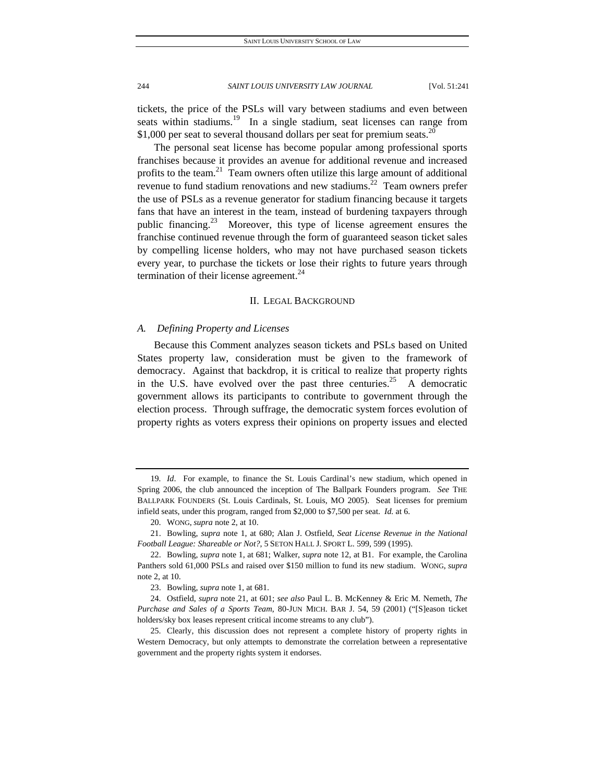tickets, the price of the PSLs will vary between stadiums and even between seats within stadiums.<sup>19</sup> In a single stadium, seat licenses can range from \$1,000 per seat to several thousand dollars per seat for premium seats.<sup>20</sup>

The personal seat license has become popular among professional sports franchises because it provides an avenue for additional revenue and increased profits to the team. $^{21}$  Team owners often utilize this large amount of additional revenue to fund stadium renovations and new stadiums.<sup>22</sup> Team owners prefer the use of PSLs as a revenue generator for stadium financing because it targets fans that have an interest in the team, instead of burdening taxpayers through public financing.<sup>23</sup> Moreover, this type of license agreement ensures the franchise continued revenue through the form of guaranteed season ticket sales by compelling license holders, who may not have purchased season tickets every year, to purchase the tickets or lose their rights to future years through termination of their license agreement. $^{24}$ 

# II. LEGAL BACKGROUND

# *A. Defining Property and Licenses*

Because this Comment analyzes season tickets and PSLs based on United States property law, consideration must be given to the framework of democracy. Against that backdrop, it is critical to realize that property rights in the U.S. have evolved over the past three centuries.<sup>25</sup> A democratic government allows its participants to contribute to government through the election process. Through suffrage, the democratic system forces evolution of property rights as voters express their opinions on property issues and elected

<sup>19</sup>*. Id*. For example, to finance the St. Louis Cardinal's new stadium, which opened in Spring 2006, the club announced the inception of The Ballpark Founders program. *See* THE BALLPARK FOUNDERS (St. Louis Cardinals, St. Louis, MO 2005). Seat licenses for premium infield seats, under this program, ranged from \$2,000 to \$7,500 per seat. *Id.* at 6.

 <sup>20.</sup> WONG, *supra* note 2, at 10.

 <sup>21.</sup> Bowling, *supra* note 1, at 680; Alan J. Ostfield, *Seat License Revenue in the National Football League: Shareable or Not?*, 5 SETON HALL J. SPORT L. 599, 599 (1995).

 <sup>22.</sup> Bowling, *supra* note 1, at 681; Walker, *supra* note 12, at B1. For example, the Carolina Panthers sold 61,000 PSLs and raised over \$150 million to fund its new stadium. WONG, *supra* note 2, at 10.

 <sup>23.</sup> Bowling, *supra* note 1, at 681.

 <sup>24.</sup> Ostfield, *supra* note 21, at 601; *see also* Paul L. B. McKenney & Eric M. Nemeth, *The Purchase and Sales of a Sports Team*, 80-JUN MICH. BAR J. 54, 59 (2001) ("[S]eason ticket holders/sky box leases represent critical income streams to any club").

 <sup>25.</sup> Clearly, this discussion does not represent a complete history of property rights in Western Democracy, but only attempts to demonstrate the correlation between a representative government and the property rights system it endorses.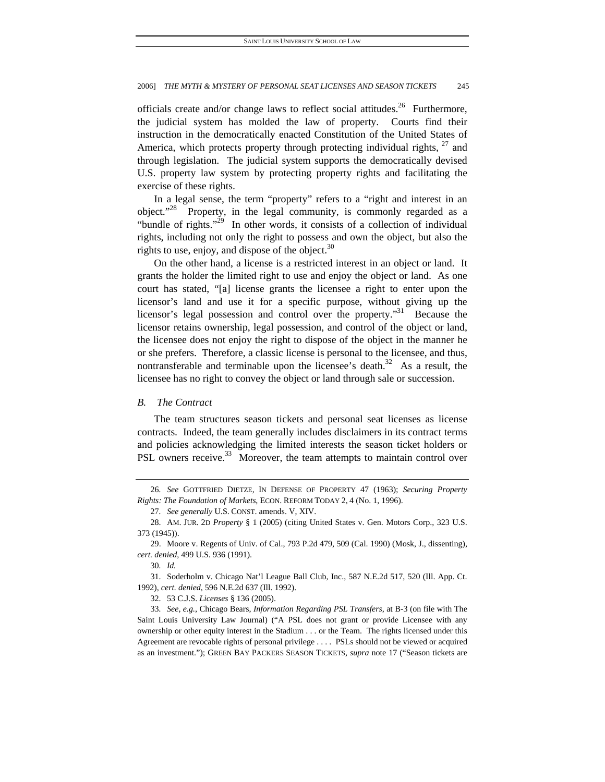officials create and/or change laws to reflect social attitudes.<sup>26</sup> Furthermore, the judicial system has molded the law of property. Courts find their instruction in the democratically enacted Constitution of the United States of America, which protects property through protecting individual rights,  $27$  and through legislation. The judicial system supports the democratically devised U.S. property law system by protecting property rights and facilitating the exercise of these rights.

In a legal sense, the term "property" refers to a "right and interest in an object."<sup>28</sup> Property, in the legal community, is commonly regarded as a "bundle of rights."<sup>29</sup> In other words, it consists of a collection of individual rights, including not only the right to possess and own the object, but also the rights to use, enjoy, and dispose of the object. $30$ 

On the other hand, a license is a restricted interest in an object or land. It grants the holder the limited right to use and enjoy the object or land. As one court has stated, "[a] license grants the licensee a right to enter upon the licensor's land and use it for a specific purpose, without giving up the licensor's legal possession and control over the property."<sup>31</sup> Because the licensor retains ownership, legal possession, and control of the object or land, the licensee does not enjoy the right to dispose of the object in the manner he or she prefers. Therefore, a classic license is personal to the licensee, and thus, nontransferable and terminable upon the licensee's death.<sup>32</sup> As a result, the licensee has no right to convey the object or land through sale or succession.

# *B. The Contract*

The team structures season tickets and personal seat licenses as license contracts. Indeed, the team generally includes disclaimers in its contract terms and policies acknowledging the limited interests the season ticket holders or PSL owners receive.<sup>33</sup> Moreover, the team attempts to maintain control over

<sup>26</sup>*. See* GOTTFRIED DIETZE, IN DEFENSE OF PROPERTY 47 (1963); *Securing Property Rights: The Foundation of Markets*, ECON. REFORM TODAY 2, 4 (No. 1, 1996).

<sup>27</sup>*. See generally* U.S. CONST. amends. V, XIV.

 <sup>28.</sup> AM. JUR. 2D *Property* § 1 (2005) (citing United States v. Gen. Motors Corp., 323 U.S. 373 (1945)).

 <sup>29.</sup> Moore v. Regents of Univ. of Cal., 793 P.2d 479, 509 (Cal. 1990) (Mosk, J., dissenting), *cert. denied*, 499 U.S. 936 (1991).

<sup>30</sup>*. Id.*

 <sup>31.</sup> Soderholm v. Chicago Nat'l League Ball Club, Inc., 587 N.E.2d 517, 520 (Ill. App. Ct. 1992), *cert. denied*, 596 N.E.2d 637 (Ill. 1992).

 <sup>32. 53</sup> C.J.S. *Licenses* § 136 (2005).

<sup>33</sup>*. See, e.g.*, Chicago Bears, *Information Regarding PSL Transfers*, at B-3 (on file with The Saint Louis University Law Journal) ("A PSL does not grant or provide Licensee with any ownership or other equity interest in the Stadium . . . or the Team. The rights licensed under this Agreement are revocable rights of personal privilege . . . . PSLs should not be viewed or acquired as an investment."); GREEN BAY PACKERS SEASON TICKETS, *supra* note 17 ("Season tickets are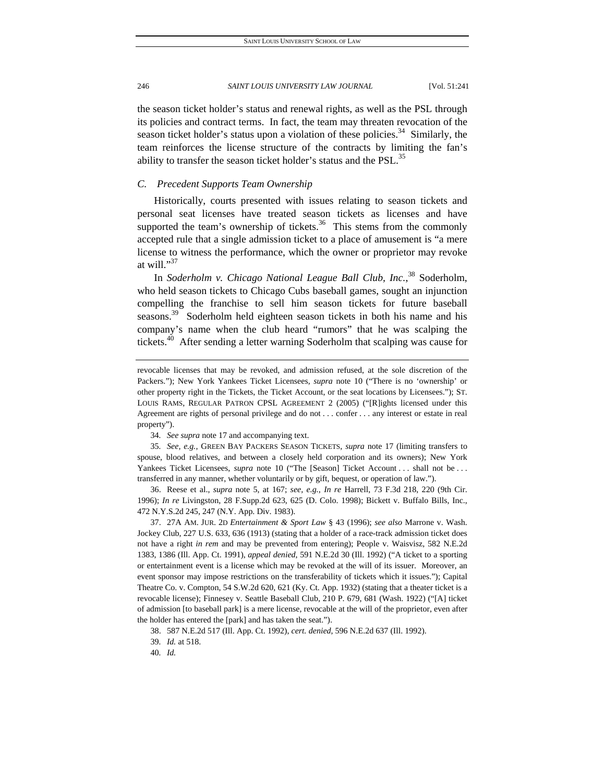the season ticket holder's status and renewal rights, as well as the PSL through its policies and contract terms. In fact, the team may threaten revocation of the season ticket holder's status upon a violation of these policies. $34$  Similarly, the team reinforces the license structure of the contracts by limiting the fan's ability to transfer the season ticket holder's status and the PSL.<sup>35</sup>

# *C. Precedent Supports Team Ownership*

Historically, courts presented with issues relating to season tickets and personal seat licenses have treated season tickets as licenses and have supported the team's ownership of tickets. $36$  This stems from the commonly accepted rule that a single admission ticket to a place of amusement is "a mere license to witness the performance, which the owner or proprietor may revoke at will." $37$ 

In *Soderholm v. Chicago National League Ball Club, Inc.*, 38 Soderholm, who held season tickets to Chicago Cubs baseball games, sought an injunction compelling the franchise to sell him season tickets for future baseball seasons.<sup>39</sup> Soderholm held eighteen season tickets in both his name and his company's name when the club heard "rumors" that he was scalping the tickets.<sup>40</sup> After sending a letter warning Soderholm that scalping was cause for

34*. See supra* note 17 and accompanying text.

35*. See, e.g.*, GREEN BAY PACKERS SEASON TICKETS, *supra* note 17 (limiting transfers to spouse, blood relatives, and between a closely held corporation and its owners); New York Yankees Ticket Licensees, *supra* note 10 ("The [Season] Ticket Account . . . shall not be . . . transferred in any manner, whether voluntarily or by gift, bequest, or operation of law.").

 36. Reese et al., *supra* note 5, at 167; *see, e.g.*, *In re* Harrell, 73 F.3d 218, 220 (9th Cir. 1996); *In re* Livingston, 28 F.Supp.2d 623, 625 (D. Colo. 1998); Bickett v. Buffalo Bills, Inc., 472 N.Y.S.2d 245, 247 (N.Y. App. Div. 1983).

 37. 27A AM. JUR. 2D *Entertainment & Sport Law* § 43 (1996); *see also* Marrone v. Wash. Jockey Club, 227 U.S. 633, 636 (1913) (stating that a holder of a race-track admission ticket does not have a right *in rem* and may be prevented from entering); People v. Waisvisz, 582 N.E.2d 1383, 1386 (Ill. App. Ct. 1991), *appeal denied*, 591 N.E.2d 30 (Ill. 1992) ("A ticket to a sporting or entertainment event is a license which may be revoked at the will of its issuer. Moreover, an event sponsor may impose restrictions on the transferability of tickets which it issues."); Capital Theatre Co. v. Compton, 54 S.W.2d 620, 621 (Ky. Ct. App. 1932) (stating that a theater ticket is a revocable license); Finnesey v. Seattle Baseball Club, 210 P. 679, 681 (Wash. 1922) ("[A] ticket of admission [to baseball park] is a mere license, revocable at the will of the proprietor, even after the holder has entered the [park] and has taken the seat.").

38. 587 N.E.2d 517 (Ill. App. Ct. 1992), *cert. denied*, 596 N.E.2d 637 (Ill. 1992).

40*. Id.*

revocable licenses that may be revoked, and admission refused, at the sole discretion of the Packers."); New York Yankees Ticket Licensees*, supra* note 10 ("There is no 'ownership' or other property right in the Tickets, the Ticket Account, or the seat locations by Licensees."); ST. LOUIS RAMS, REGULAR PATRON CPSL AGREEMENT 2 (2005) ("[R]ights licensed under this Agreement are rights of personal privilege and do not . . . confer . . . any interest or estate in real property").

<sup>39</sup>*. Id.* at 518.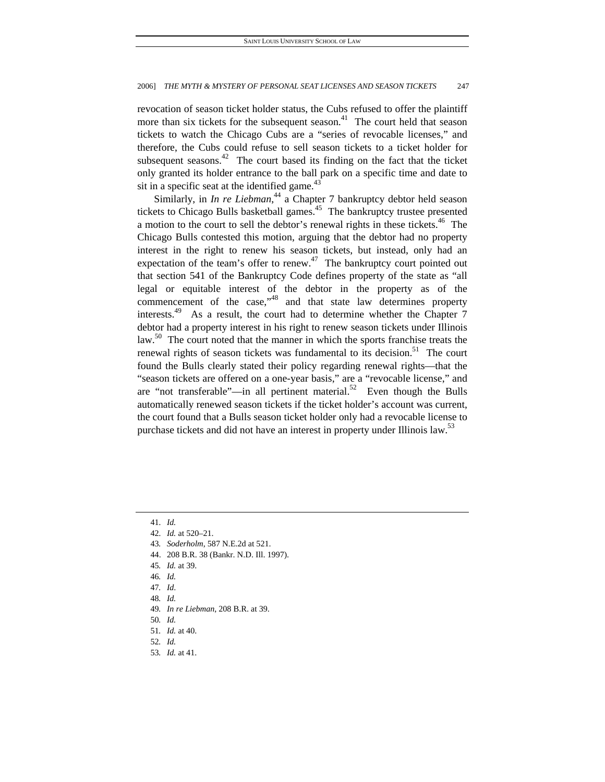revocation of season ticket holder status, the Cubs refused to offer the plaintiff more than six tickets for the subsequent season.<sup>41</sup> The court held that season tickets to watch the Chicago Cubs are a "series of revocable licenses," and therefore, the Cubs could refuse to sell season tickets to a ticket holder for subsequent seasons.<sup>42</sup> The court based its finding on the fact that the ticket only granted its holder entrance to the ball park on a specific time and date to sit in a specific seat at the identified game. $43$ 

Similarly, in *In re Liebman*,<sup>44</sup> a Chapter 7 bankruptcy debtor held season tickets to Chicago Bulls basketball games.<sup>45</sup> The bankruptcy trustee presented a motion to the court to sell the debtor's renewal rights in these tickets.<sup>46</sup> The Chicago Bulls contested this motion, arguing that the debtor had no property interest in the right to renew his season tickets, but instead, only had an expectation of the team's offer to renew.<sup>47</sup> The bankruptcy court pointed out that section 541 of the Bankruptcy Code defines property of the state as "all legal or equitable interest of the debtor in the property as of the commencement of the case,"48 and that state law determines property interests. $49$  As a result, the court had to determine whether the Chapter 7 debtor had a property interest in his right to renew season tickets under Illinois law.<sup>50</sup> The court noted that the manner in which the sports franchise treats the renewal rights of season tickets was fundamental to its decision.<sup>51</sup> The court found the Bulls clearly stated their policy regarding renewal rights—that the "season tickets are offered on a one-year basis," are a "revocable license," and are "not transferable"—in all pertinent material. $52$  Even though the Bulls automatically renewed season tickets if the ticket holder's account was current, the court found that a Bulls season ticket holder only had a revocable license to purchase tickets and did not have an interest in property under Illinois law.<sup>53</sup>

- 43*. Soderholm*, 587 N.E.2d at 521.
- 44. 208 B.R. 38 (Bankr. N.D. Ill. 1997).
- 45*. Id.* at 39.
- 46*. Id.*
- 47*. Id*.
- 48*. Id.*
- 49*. In re Liebman*, 208 B.R. at 39.
- 50*. Id.*
- 51*. Id.* at 40.
- 52*. Id.*
- 53*. Id.* at 41.

<sup>41</sup>*. Id.*

<sup>42</sup>*. Id.* at 520–21.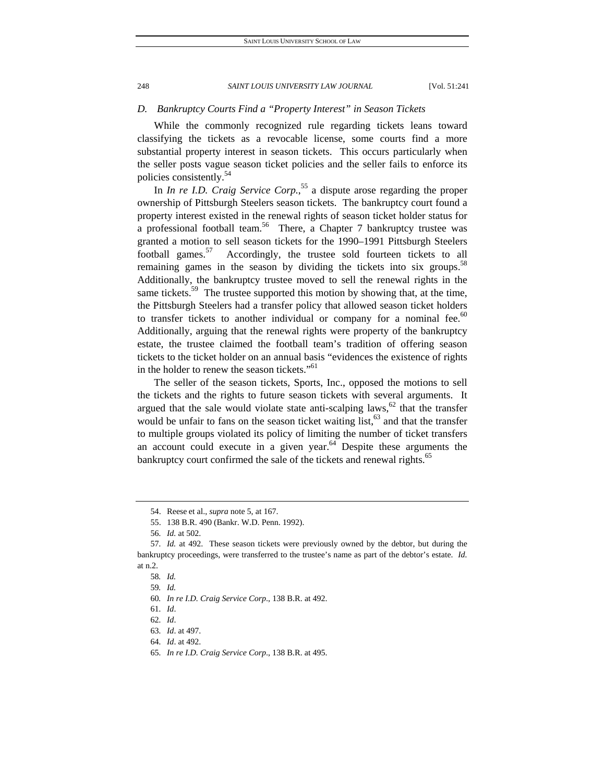# *D. Bankruptcy Courts Find a "Property Interest" in Season Tickets*

While the commonly recognized rule regarding tickets leans toward classifying the tickets as a revocable license, some courts find a more substantial property interest in season tickets. This occurs particularly when the seller posts vague season ticket policies and the seller fails to enforce its policies consistently.54

In *In re I.D. Craig Service Corp.*, 55 a dispute arose regarding the proper ownership of Pittsburgh Steelers season tickets. The bankruptcy court found a property interest existed in the renewal rights of season ticket holder status for a professional football team.<sup>56</sup> There, a Chapter 7 bankruptcy trustee was granted a motion to sell season tickets for the 1990–1991 Pittsburgh Steelers football games.<sup>57</sup> Accordingly, the trustee sold fourteen tickets to all remaining games in the season by dividing the tickets into six groups.<sup>58</sup> Additionally, the bankruptcy trustee moved to sell the renewal rights in the same tickets.<sup>59</sup> The trustee supported this motion by showing that, at the time, the Pittsburgh Steelers had a transfer policy that allowed season ticket holders to transfer tickets to another individual or company for a nominal fee.<sup>60</sup> Additionally, arguing that the renewal rights were property of the bankruptcy estate, the trustee claimed the football team's tradition of offering season tickets to the ticket holder on an annual basis "evidences the existence of rights in the holder to renew the season tickets."<sup>61</sup>

The seller of the season tickets, Sports, Inc., opposed the motions to sell the tickets and the rights to future season tickets with several arguments. It argued that the sale would violate state anti-scalping laws,  $62$  that the transfer would be unfair to fans on the season ticket waiting list,  $63$  and that the transfer to multiple groups violated its policy of limiting the number of ticket transfers an account could execute in a given year. $64$  Despite these arguments the bankruptcy court confirmed the sale of the tickets and renewal rights.<sup>65</sup>

 <sup>54.</sup> Reese et al., *supra* note 5, at 167.

 <sup>55. 138</sup> B.R. 490 (Bankr. W.D. Penn. 1992).

<sup>56</sup>*. Id.* at 502.

<sup>57</sup>*. Id.* at 492. These season tickets were previously owned by the debtor, but during the bankruptcy proceedings, were transferred to the trustee's name as part of the debtor's estate. *Id.* at n.2.

<sup>58</sup>*. Id.*

<sup>59</sup>*. Id.*

<sup>60</sup>*. In re I.D. Craig Service Corp*., 138 B.R. at 492.

<sup>61</sup>*. Id*.

<sup>62</sup>*. Id*.

<sup>63</sup>*. Id*. at 497.

<sup>64</sup>*. Id*. at 492.

<sup>65</sup>*. In re I.D. Craig Service Corp*., 138 B.R. at 495.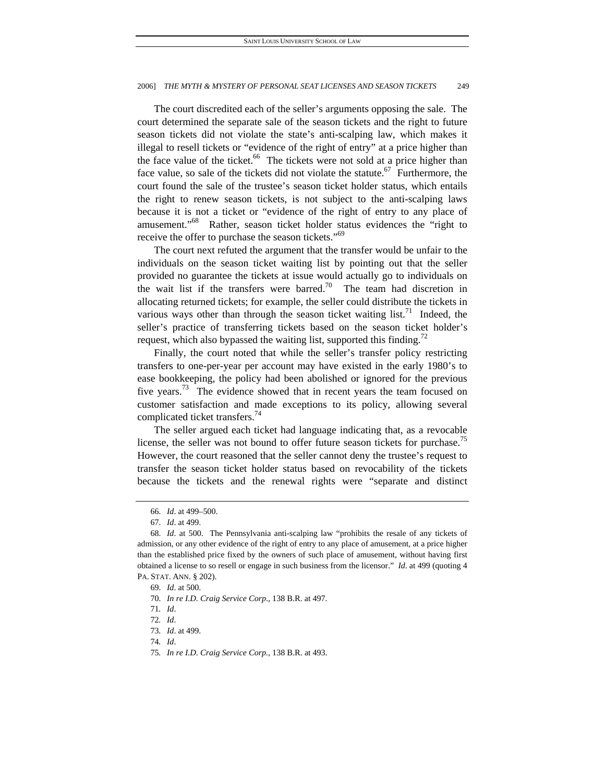The court discredited each of the seller's arguments opposing the sale. The court determined the separate sale of the season tickets and the right to future season tickets did not violate the state's anti-scalping law, which makes it illegal to resell tickets or "evidence of the right of entry" at a price higher than the face value of the ticket.<sup>66</sup> The tickets were not sold at a price higher than face value, so sale of the tickets did not violate the statute.<sup>67</sup> Furthermore, the court found the sale of the trustee's season ticket holder status, which entails the right to renew season tickets, is not subject to the anti-scalping laws because it is not a ticket or "evidence of the right of entry to any place of amusement."<sup>68</sup> Rather, season ticket holder status evidences the "right to receive the offer to purchase the season tickets."<sup>69</sup>

The court next refuted the argument that the transfer would be unfair to the individuals on the season ticket waiting list by pointing out that the seller provided no guarantee the tickets at issue would actually go to individuals on the wait list if the transfers were barred.<sup>70</sup> The team had discretion in allocating returned tickets; for example, the seller could distribute the tickets in various ways other than through the season ticket waiting  $list.^{71}$  Indeed, the seller's practice of transferring tickets based on the season ticket holder's request, which also bypassed the waiting list, supported this finding.<sup>72</sup>

Finally, the court noted that while the seller's transfer policy restricting transfers to one-per-year per account may have existed in the early 1980's to ease bookkeeping, the policy had been abolished or ignored for the previous five years.<sup>73</sup> The evidence showed that in recent years the team focused on customer satisfaction and made exceptions to its policy, allowing several complicated ticket transfers.<sup>74</sup>

The seller argued each ticket had language indicating that, as a revocable license, the seller was not bound to offer future season tickets for purchase.<sup>75</sup> However, the court reasoned that the seller cannot deny the trustee's request to transfer the season ticket holder status based on revocability of the tickets because the tickets and the renewal rights were "separate and distinct

<sup>66</sup>*. Id*. at 499–500.

<sup>67</sup>*. Id*. at 499.

<sup>68</sup>*. Id*. at 500. The Pennsylvania anti-scalping law "prohibits the resale of any tickets of admission, or any other evidence of the right of entry to any place of amusement, at a price higher than the established price fixed by the owners of such place of amusement, without having first obtained a license to so resell or engage in such business from the licensor." *Id*. at 499 (quoting 4 PA. STAT. ANN. § 202).

<sup>69</sup>*. Id*. at 500.

<sup>70</sup>*. In re I.D. Craig Service Corp*., 138 B.R. at 497.

<sup>71</sup>*. Id*.

<sup>72</sup>*. Id*.

<sup>73</sup>*. Id*. at 499.

<sup>74</sup>*. Id*.

<sup>75</sup>*. In re I.D. Craig Service Corp.*, 138 B.R. at 493.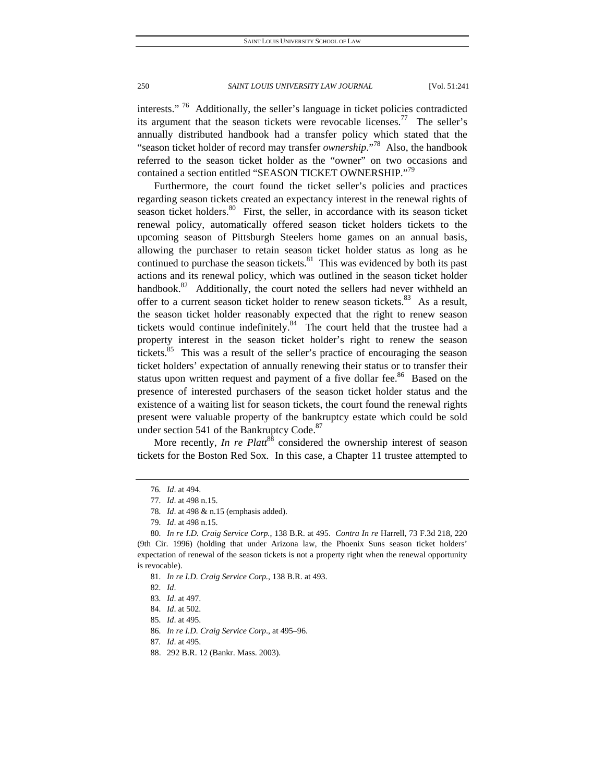interests."<sup>76</sup> Additionally, the seller's language in ticket policies contradicted its argument that the season tickets were revocable licenses.<sup>77</sup> The seller's annually distributed handbook had a transfer policy which stated that the "season ticket holder of record may transfer *ownership*."78 Also, the handbook referred to the season ticket holder as the "owner" on two occasions and contained a section entitled "SEASON TICKET OWNERSHIP."<sup>79</sup>

Furthermore, the court found the ticket seller's policies and practices regarding season tickets created an expectancy interest in the renewal rights of season ticket holders. $80$  First, the seller, in accordance with its season ticket renewal policy, automatically offered season ticket holders tickets to the upcoming season of Pittsburgh Steelers home games on an annual basis, allowing the purchaser to retain season ticket holder status as long as he continued to purchase the season tickets. $81$  This was evidenced by both its past actions and its renewal policy, which was outlined in the season ticket holder handbook. $82$  Additionally, the court noted the sellers had never withheld an offer to a current season ticket holder to renew season tickets.<sup>83</sup> As a result, the season ticket holder reasonably expected that the right to renew season tickets would continue indefinitely. $84$  The court held that the trustee had a property interest in the season ticket holder's right to renew the season tickets.<sup>85</sup> This was a result of the seller's practice of encouraging the season ticket holders' expectation of annually renewing their status or to transfer their status upon written request and payment of a five dollar fee. $86$  Based on the presence of interested purchasers of the season ticket holder status and the existence of a waiting list for season tickets, the court found the renewal rights present were valuable property of the bankruptcy estate which could be sold under section 541 of the Bankruptcy Code.<sup>87</sup>

More recently, *In re Platt<sup>88</sup>* considered the ownership interest of season tickets for the Boston Red Sox. In this case, a Chapter 11 trustee attempted to

81*. In re I.D. Craig Service Corp.*, 138 B.R. at 493.

85*. Id*. at 495.

- 87*. Id*. at 495.
- 88. 292 B.R. 12 (Bankr. Mass. 2003).

<sup>76</sup>*. Id*. at 494.

<sup>77</sup>*. Id*. at 498 n.15.

<sup>78</sup>*. Id*. at 498 & n.15 (emphasis added).

<sup>79</sup>*. Id*. at 498 n.15.

<sup>80</sup>*. In re I.D. Craig Service Corp.*, 138 B.R. at 495. *Contra In re* Harrell, 73 F.3d 218, 220 (9th Cir. 1996) (holding that under Arizona law, the Phoenix Suns season ticket holders' expectation of renewal of the season tickets is not a property right when the renewal opportunity is revocable).

<sup>82</sup>*. Id*.

<sup>83</sup>*. Id*. at 497.

<sup>84</sup>*. Id*. at 502.

<sup>86</sup>*. In re I.D. Craig Service Corp*., at 495–96.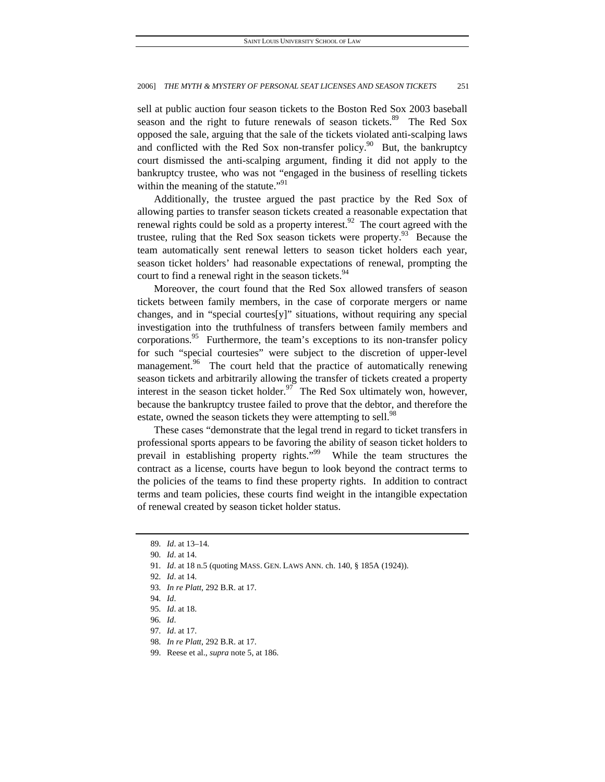sell at public auction four season tickets to the Boston Red Sox 2003 baseball season and the right to future renewals of season tickets.<sup>89</sup> The Red Sox opposed the sale, arguing that the sale of the tickets violated anti-scalping laws and conflicted with the Red Sox non-transfer policy.<sup>90</sup> But, the bankruptcy court dismissed the anti-scalping argument, finding it did not apply to the bankruptcy trustee, who was not "engaged in the business of reselling tickets within the meaning of the statute."<sup>91</sup>

Additionally, the trustee argued the past practice by the Red Sox of allowing parties to transfer season tickets created a reasonable expectation that renewal rights could be sold as a property interest.<sup>92</sup> The court agreed with the trustee, ruling that the Red Sox season tickets were property.<sup>93</sup> Because the team automatically sent renewal letters to season ticket holders each year, season ticket holders' had reasonable expectations of renewal, prompting the court to find a renewal right in the season tickets.<sup>94</sup>

Moreover, the court found that the Red Sox allowed transfers of season tickets between family members, in the case of corporate mergers or name changes, and in "special courtes[y]" situations, without requiring any special investigation into the truthfulness of transfers between family members and corporations.<sup>95</sup> Furthermore, the team's exceptions to its non-transfer policy for such "special courtesies" were subject to the discretion of upper-level management.<sup>96</sup> The court held that the practice of automatically renewing season tickets and arbitrarily allowing the transfer of tickets created a property interest in the season ticket holder.<sup>97</sup> The Red Sox ultimately won, however, because the bankruptcy trustee failed to prove that the debtor, and therefore the estate, owned the season tickets they were attempting to sell.<sup>98</sup>

These cases "demonstrate that the legal trend in regard to ticket transfers in professional sports appears to be favoring the ability of season ticket holders to prevail in establishing property rights."<sup>99</sup> While the team structures the contract as a license, courts have begun to look beyond the contract terms to the policies of the teams to find these property rights. In addition to contract terms and team policies, these courts find weight in the intangible expectation of renewal created by season ticket holder status.

<sup>89</sup>*. Id*. at 13–14.

<sup>90</sup>*. Id*. at 14.

<sup>91</sup>*. Id*. at 18 n.5 (quoting MASS. GEN. LAWS ANN. ch. 140, § 185A (1924)).

<sup>92</sup>*. Id*. at 14.

<sup>93</sup>*. In re Platt*, 292 B.R. at 17.

<sup>94</sup>*. Id*.

<sup>95</sup>*. Id*. at 18.

<sup>96</sup>*. Id*.

<sup>97</sup>*. Id*. at 17.

<sup>98</sup>*. In re Platt*, 292 B.R. at 17.

 <sup>99.</sup> Reese et al., *supra* note 5, at 186.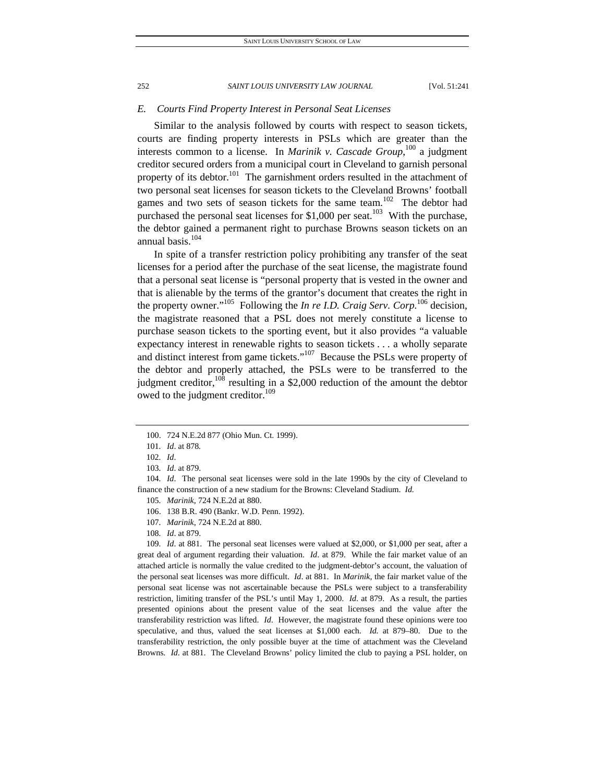## *E. Courts Find Property Interest in Personal Seat Licenses*

Similar to the analysis followed by courts with respect to season tickets, courts are finding property interests in PSLs which are greater than the interests common to a license. In *Marinik v. Cascade Group*, 100 a judgment creditor secured orders from a municipal court in Cleveland to garnish personal property of its debtor.<sup>101</sup> The garnishment orders resulted in the attachment of two personal seat licenses for season tickets to the Cleveland Browns' football games and two sets of season tickets for the same team.<sup>102</sup> The debtor had purchased the personal seat licenses for  $$1,000$  per seat.<sup>103</sup> With the purchase, the debtor gained a permanent right to purchase Browns season tickets on an annual basis.<sup>104</sup>

In spite of a transfer restriction policy prohibiting any transfer of the seat licenses for a period after the purchase of the seat license, the magistrate found that a personal seat license is "personal property that is vested in the owner and that is alienable by the terms of the grantor's document that creates the right in the property owner."105 Following the *In re I.D. Craig Serv. Corp.*106 decision, the magistrate reasoned that a PSL does not merely constitute a license to purchase season tickets to the sporting event, but it also provides "a valuable expectancy interest in renewable rights to season tickets . . . a wholly separate and distinct interest from game tickets."107 Because the PSLs were property of the debtor and properly attached, the PSLs were to be transferred to the judgment creditor,  $^{108}$  resulting in a \$2,000 reduction of the amount the debtor owed to the judgment creditor.<sup>109</sup>

109*. Id*. at 881. The personal seat licenses were valued at \$2,000, or \$1,000 per seat, after a great deal of argument regarding their valuation. *Id*. at 879. While the fair market value of an attached article is normally the value credited to the judgment-debtor's account, the valuation of the personal seat licenses was more difficult. *Id*. at 881. In *Marinik*, the fair market value of the personal seat license was not ascertainable because the PSLs were subject to a transferability restriction, limiting transfer of the PSL's until May 1, 2000. *Id*. at 879. As a result, the parties presented opinions about the present value of the seat licenses and the value after the transferability restriction was lifted. *Id*. However, the magistrate found these opinions were too speculative, and thus, valued the seat licenses at \$1,000 each. *Id.* at 879–80. Due to the transferability restriction, the only possible buyer at the time of attachment was the Cleveland Browns. *Id*. at 881. The Cleveland Browns' policy limited the club to paying a PSL holder, on

 <sup>100. 724</sup> N.E.2d 877 (Ohio Mun. Ct. 1999).

<sup>101</sup>*. Id*. at 878*.*

<sup>102</sup>*. Id*.

<sup>103</sup>*. Id*. at 879.

<sup>104</sup>*. Id*. The personal seat licenses were sold in the late 1990s by the city of Cleveland to finance the construction of a new stadium for the Browns: Cleveland Stadium. *Id.*

<sup>105</sup>*. Marinik*, 724 N.E.2d at 880.

 <sup>106. 138</sup> B.R. 490 (Bankr. W.D. Penn. 1992).

<sup>107</sup>*. Marinik*, 724 N.E.2d at 880.

<sup>108</sup>*. Id*. at 879.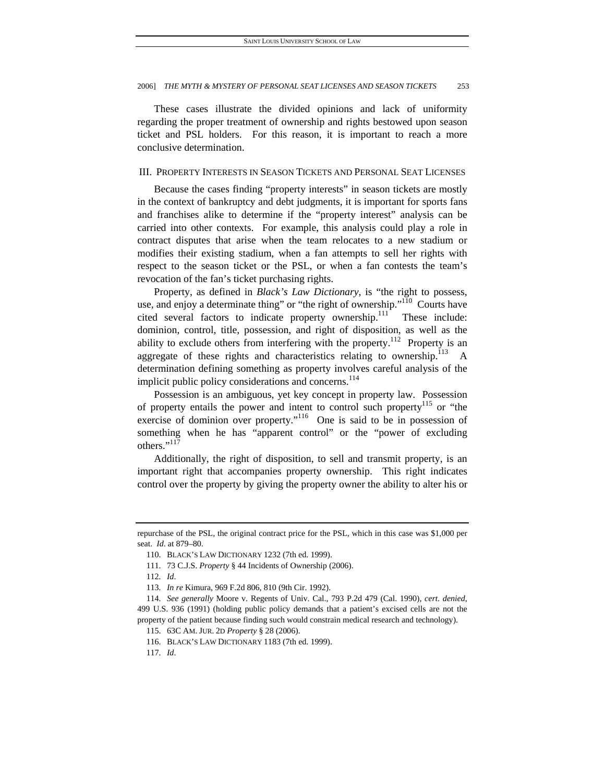These cases illustrate the divided opinions and lack of uniformity regarding the proper treatment of ownership and rights bestowed upon season ticket and PSL holders. For this reason, it is important to reach a more conclusive determination.

# III. PROPERTY INTERESTS IN SEASON TICKETS AND PERSONAL SEAT LICENSES

Because the cases finding "property interests" in season tickets are mostly in the context of bankruptcy and debt judgments, it is important for sports fans and franchises alike to determine if the "property interest" analysis can be carried into other contexts. For example, this analysis could play a role in contract disputes that arise when the team relocates to a new stadium or modifies their existing stadium, when a fan attempts to sell her rights with respect to the season ticket or the PSL, or when a fan contests the team's revocation of the fan's ticket purchasing rights.

Property, as defined in *Black's Law Dictionary*, is "the right to possess, use, and enjoy a determinate thing" or "the right of ownership."<sup>110</sup> Courts have cited several factors to indicate property ownership.<sup>111</sup> These include: dominion, control, title, possession, and right of disposition, as well as the ability to exclude others from interfering with the property.<sup>112</sup> Property is an aggregate of these rights and characteristics relating to ownership. $^{113}$  A determination defining something as property involves careful analysis of the implicit public policy considerations and concerns.<sup>114</sup>

Possession is an ambiguous, yet key concept in property law. Possession of property entails the power and intent to control such property<sup>115</sup> or "the exercise of dominion over property."116 One is said to be in possession of something when he has "apparent control" or the "power of excluding others."<sup>117</sup>

Additionally, the right of disposition, to sell and transmit property, is an important right that accompanies property ownership. This right indicates control over the property by giving the property owner the ability to alter his or

117*. Id*.

repurchase of the PSL, the original contract price for the PSL, which in this case was \$1,000 per seat. *Id*. at 879–80.

 <sup>110.</sup> BLACK'S LAW DICTIONARY 1232 (7th ed. 1999).

 <sup>111. 73</sup> C.J.S. *Property* § 44 Incidents of Ownership (2006).

<sup>112</sup>*. Id*.

<sup>113</sup>*. In re* Kimura, 969 F.2d 806, 810 (9th Cir. 1992).

<sup>114</sup>*. See generally* Moore v. Regents of Univ. Cal., 793 P.2d 479 (Cal. 1990), *cert. denied*, 499 U.S. 936 (1991) (holding public policy demands that a patient's excised cells are not the property of the patient because finding such would constrain medical research and technology).

 <sup>115. 63</sup>C AM. JUR. 2D *Property* § 28 (2006).

 <sup>116.</sup> BLACK'S LAW DICTIONARY 1183 (7th ed. 1999).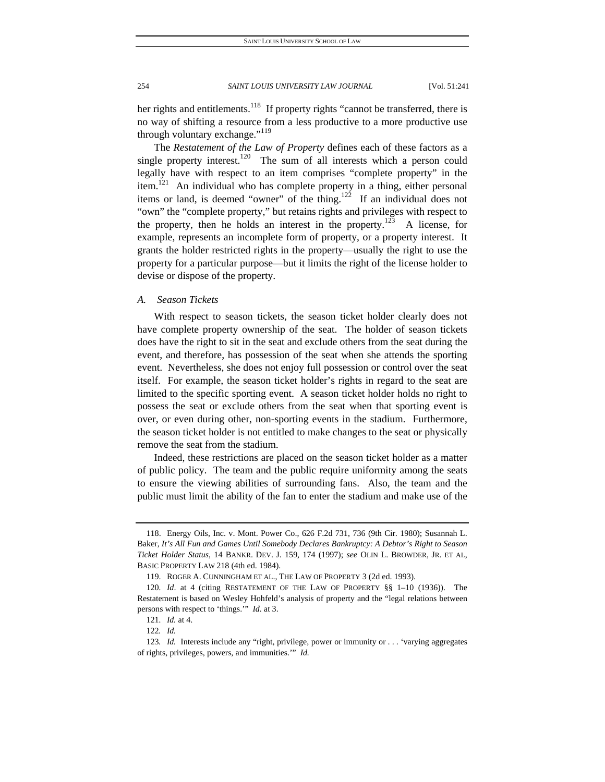her rights and entitlements.<sup>118</sup> If property rights "cannot be transferred, there is no way of shifting a resource from a less productive to a more productive use through voluntary exchange."<sup>119</sup>

The *Restatement of the Law of Property* defines each of these factors as a single property interest.<sup>120</sup> The sum of all interests which a person could legally have with respect to an item comprises "complete property" in the item.<sup>121</sup> An individual who has complete property in a thing, either personal items or land, is deemed "owner" of the thing.<sup>122</sup> If an individual does not "own" the "complete property," but retains rights and privileges with respect to the property, then he holds an interest in the property.<sup>123</sup> A license, for example, represents an incomplete form of property, or a property interest. It grants the holder restricted rights in the property—usually the right to use the property for a particular purpose—but it limits the right of the license holder to devise or dispose of the property.

# *A. Season Tickets*

With respect to season tickets, the season ticket holder clearly does not have complete property ownership of the seat. The holder of season tickets does have the right to sit in the seat and exclude others from the seat during the event, and therefore, has possession of the seat when she attends the sporting event. Nevertheless, she does not enjoy full possession or control over the seat itself. For example, the season ticket holder's rights in regard to the seat are limited to the specific sporting event. A season ticket holder holds no right to possess the seat or exclude others from the seat when that sporting event is over, or even during other, non-sporting events in the stadium. Furthermore, the season ticket holder is not entitled to make changes to the seat or physically remove the seat from the stadium.

Indeed, these restrictions are placed on the season ticket holder as a matter of public policy. The team and the public require uniformity among the seats to ensure the viewing abilities of surrounding fans. Also, the team and the public must limit the ability of the fan to enter the stadium and make use of the

 <sup>118.</sup> Energy Oils, Inc. v. Mont. Power Co., 626 F.2d 731, 736 (9th Cir. 1980); Susannah L. Baker, *It's All Fun and Games Until Somebody Declares Bankruptcy: A Debtor's Right to Season Ticket Holder Status*, 14 BANKR. DEV. J. 159, 174 (1997); *see* OLIN L. BROWDER, JR. ET AL, BASIC PROPERTY LAW 218 (4th ed. 1984).

 <sup>119.</sup> ROGER A. CUNNINGHAM ET AL., THE LAW OF PROPERTY 3 (2d ed. 1993).

<sup>120</sup>*. Id*. at 4 (citing RESTATEMENT OF THE LAW OF PROPERTY §§ 1–10 (1936)). The Restatement is based on Wesley Hohfeld's analysis of property and the "legal relations between persons with respect to 'things.'" *Id*. at 3.

<sup>121</sup>*. Id.* at 4.

<sup>122</sup>*. Id.*

<sup>123</sup>*. Id.* Interests include any "right, privilege, power or immunity or . . . 'varying aggregates of rights, privileges, powers, and immunities.'" *Id.*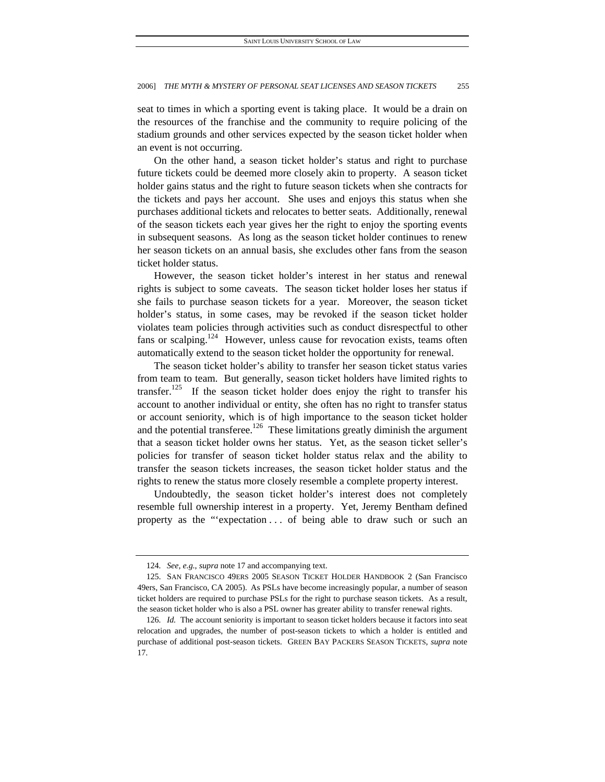seat to times in which a sporting event is taking place. It would be a drain on the resources of the franchise and the community to require policing of the stadium grounds and other services expected by the season ticket holder when an event is not occurring.

On the other hand, a season ticket holder's status and right to purchase future tickets could be deemed more closely akin to property. A season ticket holder gains status and the right to future season tickets when she contracts for the tickets and pays her account. She uses and enjoys this status when she purchases additional tickets and relocates to better seats. Additionally, renewal of the season tickets each year gives her the right to enjoy the sporting events in subsequent seasons. As long as the season ticket holder continues to renew her season tickets on an annual basis, she excludes other fans from the season ticket holder status.

However, the season ticket holder's interest in her status and renewal rights is subject to some caveats. The season ticket holder loses her status if she fails to purchase season tickets for a year. Moreover, the season ticket holder's status, in some cases, may be revoked if the season ticket holder violates team policies through activities such as conduct disrespectful to other fans or scalping.<sup>124</sup> However, unless cause for revocation exists, teams often automatically extend to the season ticket holder the opportunity for renewal.

The season ticket holder's ability to transfer her season ticket status varies from team to team. But generally, season ticket holders have limited rights to transfer.<sup>125</sup> If the season ticket holder does enjoy the right to transfer his account to another individual or entity, she often has no right to transfer status or account seniority, which is of high importance to the season ticket holder and the potential transferee.<sup>126</sup> These limitations greatly diminish the argument that a season ticket holder owns her status. Yet, as the season ticket seller's policies for transfer of season ticket holder status relax and the ability to transfer the season tickets increases, the season ticket holder status and the rights to renew the status more closely resemble a complete property interest.

Undoubtedly, the season ticket holder's interest does not completely resemble full ownership interest in a property. Yet, Jeremy Bentham defined property as the "'expectation . . . of being able to draw such or such an

<sup>124</sup>*. See, e.g.*, *supra* note 17 and accompanying text.

 <sup>125.</sup> SAN FRANCISCO 49ERS 2005 SEASON TICKET HOLDER HANDBOOK 2 (San Francisco 49ers, San Francisco, CA 2005). As PSLs have become increasingly popular, a number of season ticket holders are required to purchase PSLs for the right to purchase season tickets. As a result, the season ticket holder who is also a PSL owner has greater ability to transfer renewal rights.

<sup>126</sup>*. Id.* The account seniority is important to season ticket holders because it factors into seat relocation and upgrades, the number of post-season tickets to which a holder is entitled and purchase of additional post-season tickets. GREEN BAY PACKERS SEASON TICKETS, *supra* note 17.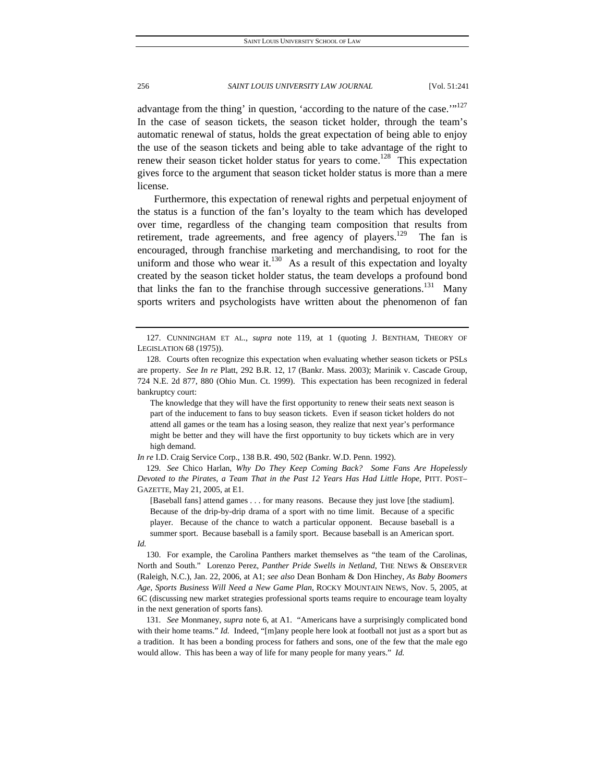advantage from the thing' in question, 'according to the nature of the case.'"<sup>127</sup> In the case of season tickets, the season ticket holder, through the team's automatic renewal of status, holds the great expectation of being able to enjoy the use of the season tickets and being able to take advantage of the right to renew their season ticket holder status for years to come.<sup>128</sup> This expectation gives force to the argument that season ticket holder status is more than a mere license.

Furthermore, this expectation of renewal rights and perpetual enjoyment of the status is a function of the fan's loyalty to the team which has developed over time, regardless of the changing team composition that results from retirement, trade agreements, and free agency of players.<sup>129</sup> The fan is encouraged, through franchise marketing and merchandising, to root for the uniform and those who wear it. $^{130}$  As a result of this expectation and loyalty created by the season ticket holder status, the team develops a profound bond that links the fan to the franchise through successive generations.<sup>131</sup> Many sports writers and psychologists have written about the phenomenon of fan

The knowledge that they will have the first opportunity to renew their seats next season is part of the inducement to fans to buy season tickets. Even if season ticket holders do not attend all games or the team has a losing season, they realize that next year's performance might be better and they will have the first opportunity to buy tickets which are in very high demand.

*In re* I.D. Craig Service Corp., 138 B.R. 490, 502 (Bankr. W.D. Penn. 1992).

129*. See* Chico Harlan, *Why Do They Keep Coming Back? Some Fans Are Hopelessly Devoted to the Pirates, a Team That in the Past 12 Years Has Had Little Hope*, PITT. POST– GAZETTE, May 21, 2005, at E1.

[Baseball fans] attend games . . . for many reasons. Because they just love [the stadium]. Because of the drip-by-drip drama of a sport with no time limit. Because of a specific player. Because of the chance to watch a particular opponent. Because baseball is a summer sport. Because baseball is a family sport. Because baseball is an American sport.

 130. For example, the Carolina Panthers market themselves as "the team of the Carolinas, North and South." Lorenzo Perez, *Panther Pride Swells in Netland*, THE NEWS & OBSERVER (Raleigh, N.C.), Jan. 22, 2006, at A1; *see also* Dean Bonham & Don Hinchey, *As Baby Boomers Age, Sports Business Will Need a New Game Plan*, ROCKY MOUNTAIN NEWS, Nov. 5, 2005, at 6C (discussing new market strategies professional sports teams require to encourage team loyalty in the next generation of sports fans).

131*. See* Monmaney, *supra* note 6, at A1. "Americans have a surprisingly complicated bond with their home teams." *Id.* Indeed, "[m]any people here look at football not just as a sport but as a tradition. It has been a bonding process for fathers and sons, one of the few that the male ego would allow. This has been a way of life for many people for many years." *Id.*

*Id.*

 <sup>127.</sup> CUNNINGHAM ET AL., *supra* note 119, at 1 (quoting J. BENTHAM, THEORY OF LEGISLATION 68 (1975)).

 <sup>128.</sup> Courts often recognize this expectation when evaluating whether season tickets or PSLs are property. *See In re* Platt, 292 B.R. 12, 17 (Bankr. Mass. 2003); Marinik v. Cascade Group, 724 N.E. 2d 877, 880 (Ohio Mun. Ct. 1999). This expectation has been recognized in federal bankruptcy court: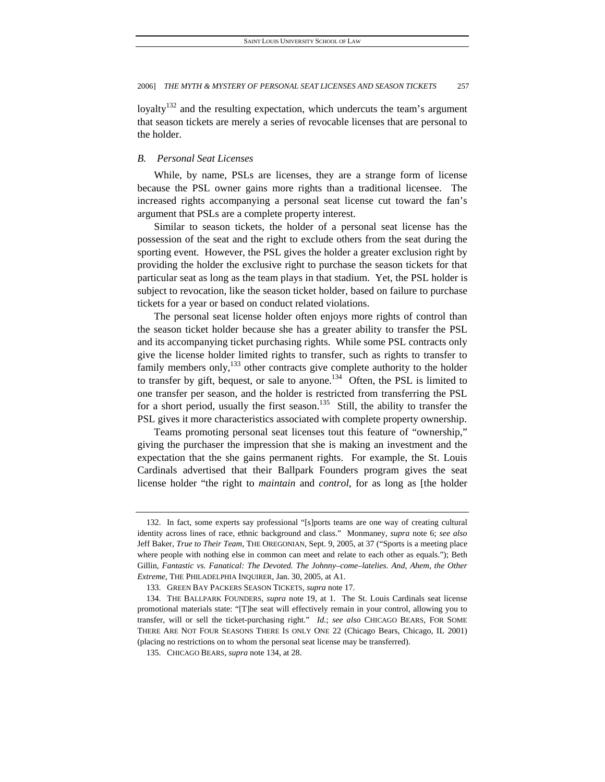loyalty<sup>132</sup> and the resulting expectation, which undercuts the team's argument that season tickets are merely a series of revocable licenses that are personal to the holder.

# *B. Personal Seat Licenses*

While, by name, PSLs are licenses, they are a strange form of license because the PSL owner gains more rights than a traditional licensee. The increased rights accompanying a personal seat license cut toward the fan's argument that PSLs are a complete property interest.

Similar to season tickets, the holder of a personal seat license has the possession of the seat and the right to exclude others from the seat during the sporting event. However, the PSL gives the holder a greater exclusion right by providing the holder the exclusive right to purchase the season tickets for that particular seat as long as the team plays in that stadium. Yet, the PSL holder is subject to revocation, like the season ticket holder, based on failure to purchase tickets for a year or based on conduct related violations.

The personal seat license holder often enjoys more rights of control than the season ticket holder because she has a greater ability to transfer the PSL and its accompanying ticket purchasing rights. While some PSL contracts only give the license holder limited rights to transfer, such as rights to transfer to family members only,  $^{133}$  other contracts give complete authority to the holder to transfer by gift, bequest, or sale to anyone.<sup>134</sup> Often, the PSL is limited to one transfer per season, and the holder is restricted from transferring the PSL for a short period, usually the first season.<sup>135</sup> Still, the ability to transfer the PSL gives it more characteristics associated with complete property ownership.

Teams promoting personal seat licenses tout this feature of "ownership," giving the purchaser the impression that she is making an investment and the expectation that the she gains permanent rights. For example, the St. Louis Cardinals advertised that their Ballpark Founders program gives the seat license holder "the right to *maintain* and *control*, for as long as [the holder

 <sup>132.</sup> In fact, some experts say professional "[s]ports teams are one way of creating cultural identity across lines of race, ethnic background and class." Monmaney, *supra* note 6; *see also* Jeff Baker, *True to Their Team*, THE OREGONIAN, Sept. 9, 2005, at 37 ("Sports is a meeting place where people with nothing else in common can meet and relate to each other as equals."); Beth Gillin, *Fantastic vs. Fanatical: The Devoted. The Johnny–come–latelies. And, Ahem, the Other Extreme*, THE PHILADELPHIA INQUIRER, Jan. 30, 2005, at A1.

 <sup>133.</sup> GREEN BAY PACKERS SEASON TICKETS, *supra* note 17.

 <sup>134.</sup> THE BALLPARK FOUNDERS, *supra* note 19, at 1. The St. Louis Cardinals seat license promotional materials state: "[T]he seat will effectively remain in your control, allowing you to transfer, will or sell the ticket-purchasing right." *Id.*; *see also* CHICAGO BEARS, FOR SOME THERE ARE NOT FOUR SEASONS THERE IS ONLY ONE 22 (Chicago Bears, Chicago, IL 2001) (placing no restrictions on to whom the personal seat license may be transferred).

 <sup>135.</sup> CHICAGO BEARS, *supra* note 134, at 28.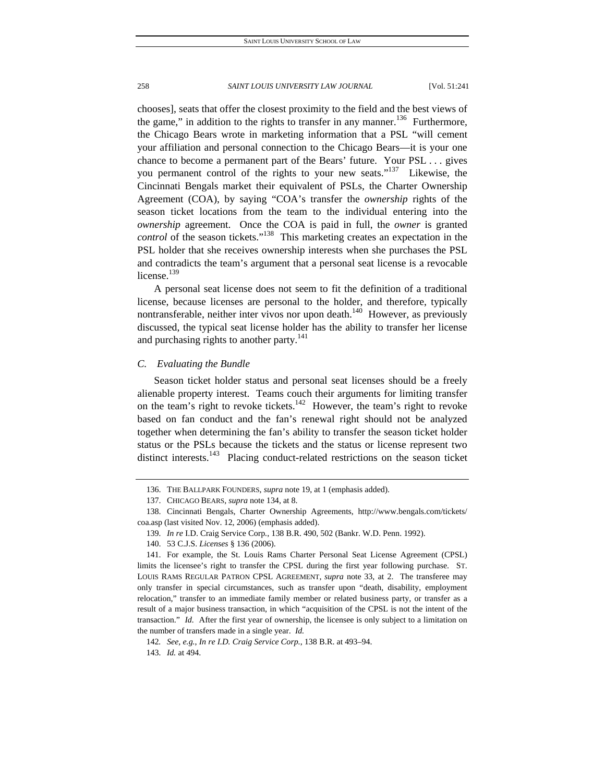chooses], seats that offer the closest proximity to the field and the best views of the game," in addition to the rights to transfer in any manner.<sup>136</sup> Furthermore, the Chicago Bears wrote in marketing information that a PSL "will cement your affiliation and personal connection to the Chicago Bears—it is your one chance to become a permanent part of the Bears' future. Your PSL . . . gives you permanent control of the rights to your new seats."<sup>137</sup> Likewise, the Cincinnati Bengals market their equivalent of PSLs, the Charter Ownership Agreement (COA), by saying "COA's transfer the *ownership* rights of the season ticket locations from the team to the individual entering into the *ownership* agreement. Once the COA is paid in full, the *owner* is granted *control* of the season tickets."138 This marketing creates an expectation in the PSL holder that she receives ownership interests when she purchases the PSL and contradicts the team's argument that a personal seat license is a revocable license.<sup>139</sup>

A personal seat license does not seem to fit the definition of a traditional license, because licenses are personal to the holder, and therefore, typically nontransferable, neither inter vivos nor upon death.<sup>140</sup> However, as previously discussed, the typical seat license holder has the ability to transfer her license and purchasing rights to another party.<sup>141</sup>

# *C. Evaluating the Bundle*

Season ticket holder status and personal seat licenses should be a freely alienable property interest. Teams couch their arguments for limiting transfer on the team's right to revoke tickets.<sup>142</sup> However, the team's right to revoke based on fan conduct and the fan's renewal right should not be analyzed together when determining the fan's ability to transfer the season ticket holder status or the PSLs because the tickets and the status or license represent two distinct interests.<sup>143</sup> Placing conduct-related restrictions on the season ticket

 <sup>136.</sup> THE BALLPARK FOUNDERS, *supra* note 19, at 1 (emphasis added).

 <sup>137.</sup> CHICAGO BEARS, *supra* note 134, at 8.

 <sup>138.</sup> Cincinnati Bengals, Charter Ownership Agreements, http://www.bengals.com/tickets/ coa.asp (last visited Nov. 12, 2006) (emphasis added).

<sup>139</sup>*. In re* I.D. Craig Service Corp*.*, 138 B.R. 490, 502 (Bankr. W.D. Penn. 1992).

 <sup>140. 53</sup> C.J.S. *Licenses* § 136 (2006).

 <sup>141.</sup> For example, the St. Louis Rams Charter Personal Seat License Agreement (CPSL) limits the licensee's right to transfer the CPSL during the first year following purchase. ST. LOUIS RAMS REGULAR PATRON CPSL AGREEMENT, *supra* note 33, at 2. The transferee may only transfer in special circumstances, such as transfer upon "death, disability, employment relocation," transfer to an immediate family member or related business party, or transfer as a result of a major business transaction, in which "acquisition of the CPSL is not the intent of the transaction." *Id.* After the first year of ownership, the licensee is only subject to a limitation on the number of transfers made in a single year. *Id.*

<sup>142</sup>*. See, e.g.*, *In re I.D. Craig Service Corp.*, 138 B.R. at 493–94.

<sup>143</sup>*. Id.* at 494.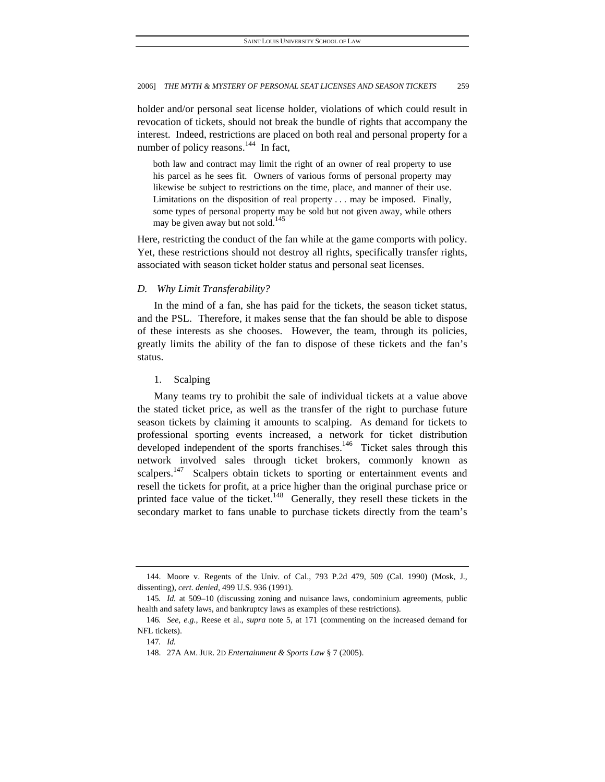holder and/or personal seat license holder, violations of which could result in revocation of tickets, should not break the bundle of rights that accompany the interest. Indeed, restrictions are placed on both real and personal property for a number of policy reasons.<sup>144</sup> In fact,

both law and contract may limit the right of an owner of real property to use his parcel as he sees fit. Owners of various forms of personal property may likewise be subject to restrictions on the time, place, and manner of their use. Limitations on the disposition of real property . . . may be imposed. Finally, some types of personal property may be sold but not given away, while others may be given away but not sold.<sup>145</sup>

Here, restricting the conduct of the fan while at the game comports with policy. Yet, these restrictions should not destroy all rights, specifically transfer rights, associated with season ticket holder status and personal seat licenses.

# *D. Why Limit Transferability?*

In the mind of a fan, she has paid for the tickets, the season ticket status, and the PSL. Therefore, it makes sense that the fan should be able to dispose of these interests as she chooses. However, the team, through its policies, greatly limits the ability of the fan to dispose of these tickets and the fan's status.

### 1. Scalping

Many teams try to prohibit the sale of individual tickets at a value above the stated ticket price, as well as the transfer of the right to purchase future season tickets by claiming it amounts to scalping. As demand for tickets to professional sporting events increased, a network for ticket distribution developed independent of the sports franchises.<sup>146</sup> Ticket sales through this network involved sales through ticket brokers, commonly known as scalpers.<sup>147</sup> Scalpers obtain tickets to sporting or entertainment events and resell the tickets for profit, at a price higher than the original purchase price or printed face value of the ticket.<sup>148</sup> Generally, they resell these tickets in the secondary market to fans unable to purchase tickets directly from the team's

 <sup>144.</sup> Moore v. Regents of the Univ. of Cal., 793 P.2d 479, 509 (Cal. 1990) (Mosk, J., dissenting), *cert. denied*, 499 U.S. 936 (1991).

<sup>145</sup>*. Id.* at 509–10 (discussing zoning and nuisance laws, condominium agreements, public health and safety laws, and bankruptcy laws as examples of these restrictions).

<sup>146</sup>*. See, e.g.*, Reese et al., *supra* note 5, at 171 (commenting on the increased demand for NFL tickets).

<sup>147</sup>*. Id.*

 <sup>148. 27</sup>A AM. JUR. 2D *Entertainment & Sports Law* § 7 (2005).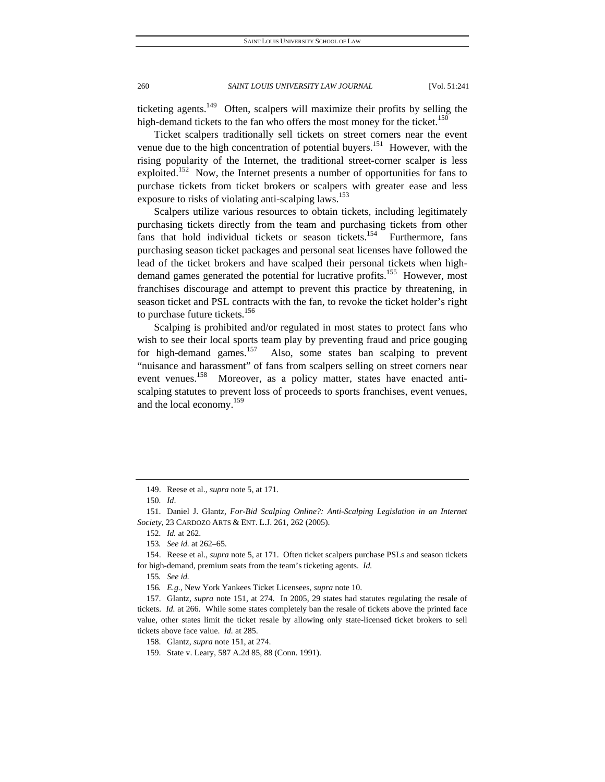ticketing agents.<sup>149</sup> Often, scalpers will maximize their profits by selling the high-demand tickets to the fan who offers the most money for the ticket.<sup>150</sup>

Ticket scalpers traditionally sell tickets on street corners near the event venue due to the high concentration of potential buyers.<sup>151</sup> However, with the rising popularity of the Internet, the traditional street-corner scalper is less exploited.<sup>152</sup> Now, the Internet presents a number of opportunities for fans to purchase tickets from ticket brokers or scalpers with greater ease and less exposure to risks of violating anti-scalping laws.<sup>153</sup>

Scalpers utilize various resources to obtain tickets, including legitimately purchasing tickets directly from the team and purchasing tickets from other fans that hold individual tickets or season tickets.<sup>154</sup> Furthermore, fans purchasing season ticket packages and personal seat licenses have followed the lead of the ticket brokers and have scalped their personal tickets when highdemand games generated the potential for lucrative profits.<sup>155</sup> However, most franchises discourage and attempt to prevent this practice by threatening, in season ticket and PSL contracts with the fan, to revoke the ticket holder's right to purchase future tickets.<sup>156</sup>

Scalping is prohibited and/or regulated in most states to protect fans who wish to see their local sports team play by preventing fraud and price gouging for high-demand games.<sup>157</sup> Also, some states ban scalping to prevent "nuisance and harassment" of fans from scalpers selling on street corners near event venues.<sup>158</sup> Moreover, as a policy matter, states have enacted antiscalping statutes to prevent loss of proceeds to sports franchises, event venues, and the local economy.<sup>159</sup>

 <sup>149.</sup> Reese et al., *supra* note 5, at 171.

<sup>150</sup>*. Id*.

 <sup>151.</sup> Daniel J. Glantz, *For-Bid Scalping Online?: Anti-Scalping Legislation in an Internet Society*, 23 CARDOZO ARTS & ENT. L.J. 261, 262 (2005).

<sup>152</sup>*. Id.* at 262.

<sup>153</sup>*. See id.* at 262–65.

 <sup>154.</sup> Reese et al., *supra* note 5, at 171. Often ticket scalpers purchase PSLs and season tickets for high-demand, premium seats from the team's ticketing agents. *Id.*

<sup>155</sup>*. See id.*

<sup>156</sup>*. E.g.*, New York Yankees Ticket Licensees, *supra* note 10.

 <sup>157.</sup> Glantz, *supra* note 151, at 274. In 2005, 29 states had statutes regulating the resale of tickets. *Id.* at 266. While some states completely ban the resale of tickets above the printed face value, other states limit the ticket resale by allowing only state-licensed ticket brokers to sell tickets above face value. *Id.* at 285.

 <sup>158.</sup> Glantz, *supra* note 151, at 274.

 <sup>159.</sup> State v. Leary, 587 A.2d 85, 88 (Conn. 1991).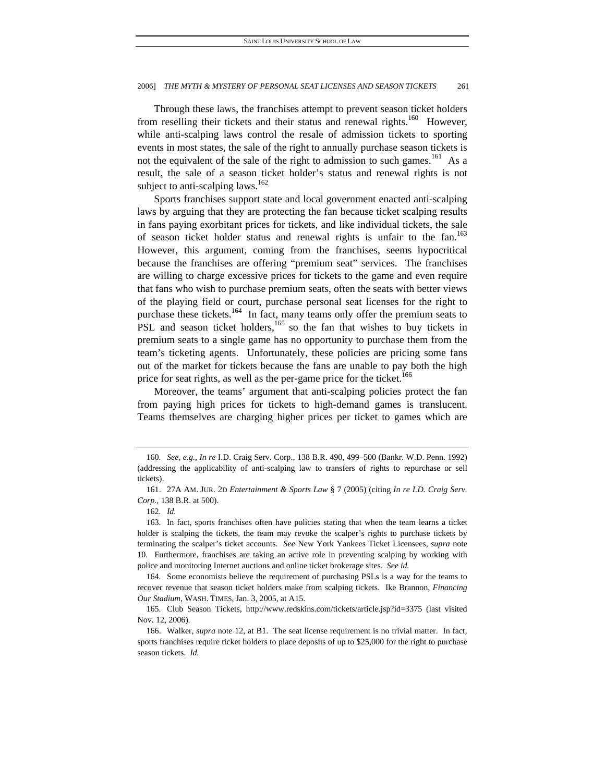Through these laws, the franchises attempt to prevent season ticket holders from reselling their tickets and their status and renewal rights.<sup>160</sup> However, while anti-scalping laws control the resale of admission tickets to sporting events in most states, the sale of the right to annually purchase season tickets is not the equivalent of the sale of the right to admission to such games.<sup>161</sup> As a result, the sale of a season ticket holder's status and renewal rights is not subject to anti-scalping laws.<sup>162</sup>

Sports franchises support state and local government enacted anti-scalping laws by arguing that they are protecting the fan because ticket scalping results in fans paying exorbitant prices for tickets, and like individual tickets, the sale of season ticket holder status and renewal rights is unfair to the fan.<sup>163</sup> However, this argument, coming from the franchises, seems hypocritical because the franchises are offering "premium seat" services. The franchises are willing to charge excessive prices for tickets to the game and even require that fans who wish to purchase premium seats, often the seats with better views of the playing field or court, purchase personal seat licenses for the right to purchase these tickets.<sup>164</sup> In fact, many teams only offer the premium seats to PSL and season ticket holders, $165$  so the fan that wishes to buy tickets in premium seats to a single game has no opportunity to purchase them from the team's ticketing agents. Unfortunately, these policies are pricing some fans out of the market for tickets because the fans are unable to pay both the high price for seat rights, as well as the per-game price for the ticket.<sup>166</sup>

Moreover, the teams' argument that anti-scalping policies protect the fan from paying high prices for tickets to high-demand games is translucent. Teams themselves are charging higher prices per ticket to games which are

 164. Some economists believe the requirement of purchasing PSLs is a way for the teams to recover revenue that season ticket holders make from scalping tickets. Ike Brannon, *Financing Our Stadium*, WASH. TIMES, Jan. 3, 2005, at A15.

 165. Club Season Tickets, http://www.redskins.com/tickets/article.jsp?id=3375 (last visited Nov. 12, 2006).

 166. Walker, *supra* note 12, at B1. The seat license requirement is no trivial matter. In fact, sports franchises require ticket holders to place deposits of up to \$25,000 for the right to purchase season tickets. *Id.* 

<sup>160</sup>*. See, e.g.*, *In re* I.D. Craig Serv. Corp., 138 B.R. 490, 499–500 (Bankr. W.D. Penn. 1992) (addressing the applicability of anti-scalping law to transfers of rights to repurchase or sell tickets).

 <sup>161. 27</sup>A AM. JUR. 2D *Entertainment & Sports Law* § 7 (2005) (citing *In re I.D. Craig Serv. Corp.*, 138 B.R. at 500).

<sup>162</sup>*. Id.*

 <sup>163.</sup> In fact, sports franchises often have policies stating that when the team learns a ticket holder is scalping the tickets, the team may revoke the scalper's rights to purchase tickets by terminating the scalper's ticket accounts. *See* New York Yankees Ticket Licensees, *supra* note 10. Furthermore, franchises are taking an active role in preventing scalping by working with police and monitoring Internet auctions and online ticket brokerage sites. *See id.*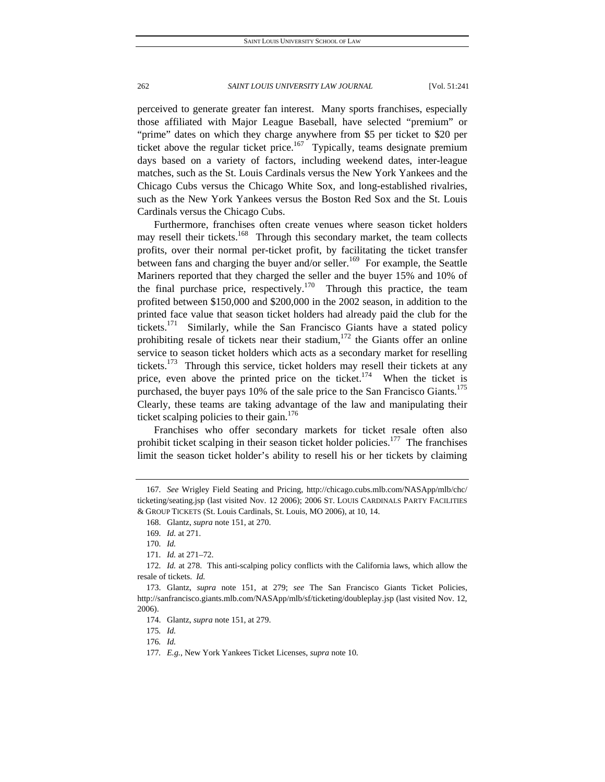perceived to generate greater fan interest. Many sports franchises, especially those affiliated with Major League Baseball, have selected "premium" or "prime" dates on which they charge anywhere from \$5 per ticket to \$20 per ticket above the regular ticket price.<sup>167</sup> Typically, teams designate premium days based on a variety of factors, including weekend dates, inter-league matches, such as the St. Louis Cardinals versus the New York Yankees and the Chicago Cubs versus the Chicago White Sox, and long-established rivalries, such as the New York Yankees versus the Boston Red Sox and the St. Louis Cardinals versus the Chicago Cubs.

Furthermore, franchises often create venues where season ticket holders may resell their tickets.<sup>168</sup> Through this secondary market, the team collects profits, over their normal per-ticket profit, by facilitating the ticket transfer between fans and charging the buyer and/or seller.<sup>169</sup> For example, the Seattle Mariners reported that they charged the seller and the buyer 15% and 10% of the final purchase price, respectively.<sup>170</sup> Through this practice, the team profited between \$150,000 and \$200,000 in the 2002 season, in addition to the printed face value that season ticket holders had already paid the club for the tickets.<sup>171</sup> Similarly, while the San Francisco Giants have a stated policy prohibiting resale of tickets near their stadium, $172$  the Giants offer an online service to season ticket holders which acts as a secondary market for reselling tickets.<sup>173</sup> Through this service, ticket holders may resell their tickets at any price, even above the printed price on the ticket.<sup>174</sup> When the ticket is purchased, the buyer pays 10% of the sale price to the San Francisco Giants.<sup>175</sup> Clearly, these teams are taking advantage of the law and manipulating their ticket scalping policies to their gain.<sup>176</sup>

Franchises who offer secondary markets for ticket resale often also prohibit ticket scalping in their season ticket holder policies.<sup>177</sup> The franchises limit the season ticket holder's ability to resell his or her tickets by claiming

175*. Id.*

176*. Id.*

<sup>167</sup>*. See* Wrigley Field Seating and Pricing, http://chicago.cubs.mlb.com/NASApp/mlb/chc/ ticketing/seating.jsp (last visited Nov. 12 2006); 2006 ST. LOUIS CARDINALS PARTY FACILITIES & GROUP TICKETS (St. Louis Cardinals, St. Louis, MO 2006), at 10, 14.

 <sup>168.</sup> Glantz, *supra* note 151, at 270.

<sup>169</sup>*. Id.* at 271.

<sup>170</sup>*. Id.*

<sup>171</sup>*. Id.* at 271–72.

<sup>172</sup>*. Id.* at 278. This anti-scalping policy conflicts with the California laws, which allow the resale of tickets. *Id.* 

 <sup>173.</sup> Glantz, *supra* note 151, at 279; *see* The San Francisco Giants Ticket Policies, http://sanfrancisco.giants.mlb.com/NASApp/mlb/sf/ticketing/doubleplay.jsp (last visited Nov. 12, 2006).

 <sup>174.</sup> Glantz, *supra* note 151, at 279.

<sup>177</sup>*. E.g.*, New York Yankees Ticket Licenses, *supra* note 10.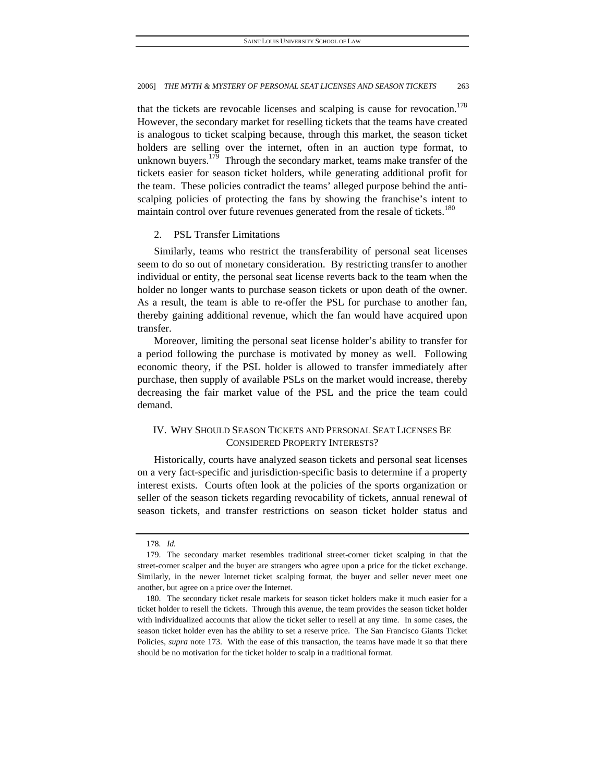that the tickets are revocable licenses and scalping is cause for revocation.<sup>178</sup> However, the secondary market for reselling tickets that the teams have created is analogous to ticket scalping because, through this market, the season ticket holders are selling over the internet, often in an auction type format, to unknown buyers.<sup>179</sup> Through the secondary market, teams make transfer of the tickets easier for season ticket holders, while generating additional profit for the team. These policies contradict the teams' alleged purpose behind the antiscalping policies of protecting the fans by showing the franchise's intent to maintain control over future revenues generated from the resale of tickets.<sup>180</sup>

# 2. PSL Transfer Limitations

Similarly, teams who restrict the transferability of personal seat licenses seem to do so out of monetary consideration. By restricting transfer to another individual or entity, the personal seat license reverts back to the team when the holder no longer wants to purchase season tickets or upon death of the owner. As a result, the team is able to re-offer the PSL for purchase to another fan, thereby gaining additional revenue, which the fan would have acquired upon transfer.

Moreover, limiting the personal seat license holder's ability to transfer for a period following the purchase is motivated by money as well. Following economic theory, if the PSL holder is allowed to transfer immediately after purchase, then supply of available PSLs on the market would increase, thereby decreasing the fair market value of the PSL and the price the team could demand.

# IV. WHY SHOULD SEASON TICKETS AND PERSONAL SEAT LICENSES BE CONSIDERED PROPERTY INTERESTS?

Historically, courts have analyzed season tickets and personal seat licenses on a very fact-specific and jurisdiction-specific basis to determine if a property interest exists. Courts often look at the policies of the sports organization or seller of the season tickets regarding revocability of tickets, annual renewal of season tickets, and transfer restrictions on season ticket holder status and

<sup>178</sup>*. Id.*

 <sup>179.</sup> The secondary market resembles traditional street-corner ticket scalping in that the street-corner scalper and the buyer are strangers who agree upon a price for the ticket exchange. Similarly, in the newer Internet ticket scalping format, the buyer and seller never meet one another, but agree on a price over the Internet.

 <sup>180.</sup> The secondary ticket resale markets for season ticket holders make it much easier for a ticket holder to resell the tickets. Through this avenue, the team provides the season ticket holder with individualized accounts that allow the ticket seller to resell at any time. In some cases, the season ticket holder even has the ability to set a reserve price. The San Francisco Giants Ticket Policies, *supra* note 173. With the ease of this transaction, the teams have made it so that there should be no motivation for the ticket holder to scalp in a traditional format.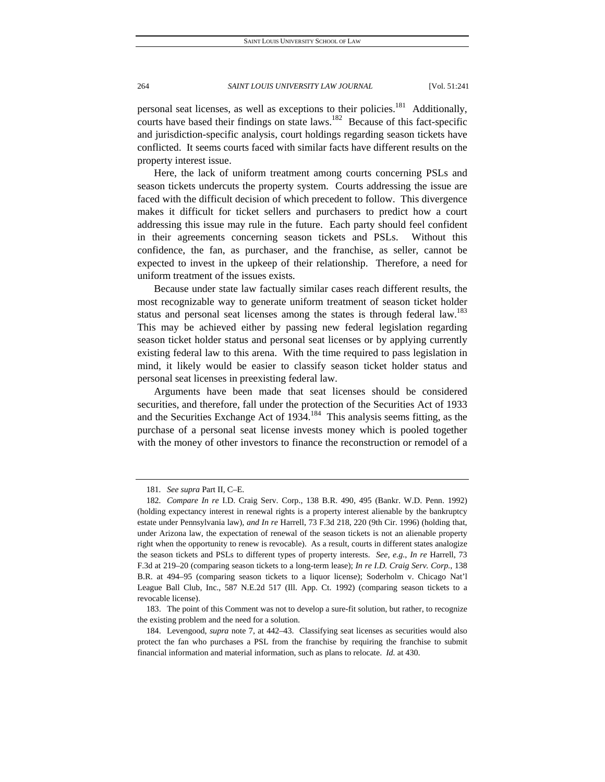personal seat licenses, as well as exceptions to their policies.<sup>181</sup> Additionally, courts have based their findings on state laws.<sup>182</sup> Because of this fact-specific and jurisdiction-specific analysis, court holdings regarding season tickets have conflicted. It seems courts faced with similar facts have different results on the property interest issue.

Here, the lack of uniform treatment among courts concerning PSLs and season tickets undercuts the property system. Courts addressing the issue are faced with the difficult decision of which precedent to follow. This divergence makes it difficult for ticket sellers and purchasers to predict how a court addressing this issue may rule in the future. Each party should feel confident in their agreements concerning season tickets and PSLs. Without this confidence, the fan, as purchaser, and the franchise, as seller, cannot be expected to invest in the upkeep of their relationship. Therefore, a need for uniform treatment of the issues exists.

Because under state law factually similar cases reach different results, the most recognizable way to generate uniform treatment of season ticket holder status and personal seat licenses among the states is through federal law.<sup>183</sup> This may be achieved either by passing new federal legislation regarding season ticket holder status and personal seat licenses or by applying currently existing federal law to this arena. With the time required to pass legislation in mind, it likely would be easier to classify season ticket holder status and personal seat licenses in preexisting federal law.

Arguments have been made that seat licenses should be considered securities, and therefore, fall under the protection of the Securities Act of 1933 and the Securities Exchange Act of  $1934$ .<sup>184</sup> This analysis seems fitting, as the purchase of a personal seat license invests money which is pooled together with the money of other investors to finance the reconstruction or remodel of a

<sup>181</sup>*. See supra* Part II, C–E.

<sup>182</sup>*. Compare In re* I.D. Craig Serv. Corp., 138 B.R. 490, 495 (Bankr. W.D. Penn. 1992) (holding expectancy interest in renewal rights is a property interest alienable by the bankruptcy estate under Pennsylvania law), *and In re* Harrell, 73 F.3d 218, 220 (9th Cir. 1996) (holding that, under Arizona law, the expectation of renewal of the season tickets is not an alienable property right when the opportunity to renew is revocable). As a result, courts in different states analogize the season tickets and PSLs to different types of property interests. *See, e.g.*, *In re* Harrell, 73 F.3d at 219–20 (comparing season tickets to a long-term lease); *In re I.D. Craig Serv. Corp.*, 138 B.R. at 494–95 (comparing season tickets to a liquor license); Soderholm v. Chicago Nat'l League Ball Club, Inc., 587 N.E.2d 517 (Ill. App. Ct. 1992) (comparing season tickets to a revocable license).

 <sup>183.</sup> The point of this Comment was not to develop a sure-fit solution, but rather, to recognize the existing problem and the need for a solution.

 <sup>184.</sup> Levengood, *supra* note 7, at 442–43. Classifying seat licenses as securities would also protect the fan who purchases a PSL from the franchise by requiring the franchise to submit financial information and material information, such as plans to relocate. *Id.* at 430.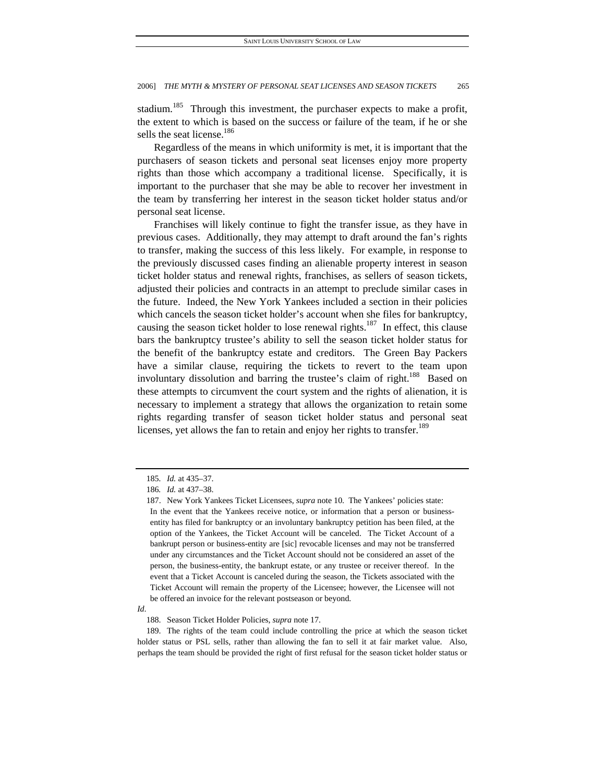stadium.<sup>185</sup> Through this investment, the purchaser expects to make a profit, the extent to which is based on the success or failure of the team, if he or she sells the seat license.<sup>186</sup>

Regardless of the means in which uniformity is met, it is important that the purchasers of season tickets and personal seat licenses enjoy more property rights than those which accompany a traditional license. Specifically, it is important to the purchaser that she may be able to recover her investment in the team by transferring her interest in the season ticket holder status and/or personal seat license.

Franchises will likely continue to fight the transfer issue, as they have in previous cases. Additionally, they may attempt to draft around the fan's rights to transfer, making the success of this less likely. For example, in response to the previously discussed cases finding an alienable property interest in season ticket holder status and renewal rights, franchises, as sellers of season tickets, adjusted their policies and contracts in an attempt to preclude similar cases in the future. Indeed, the New York Yankees included a section in their policies which cancels the season ticket holder's account when she files for bankruptcy, causing the season ticket holder to lose renewal rights.<sup>187</sup> In effect, this clause bars the bankruptcy trustee's ability to sell the season ticket holder status for the benefit of the bankruptcy estate and creditors. The Green Bay Packers have a similar clause, requiring the tickets to revert to the team upon involuntary dissolution and barring the trustee's claim of right.<sup>188</sup> Based on these attempts to circumvent the court system and the rights of alienation, it is necessary to implement a strategy that allows the organization to retain some rights regarding transfer of season ticket holder status and personal seat licenses, yet allows the fan to retain and enjoy her rights to transfer.<sup>189</sup>

<sup>185</sup>*. Id.* at 435–37.

<sup>186</sup>*. Id.* at 437–38.

 <sup>187.</sup> New York Yankees Ticket Licensees, *supra* note 10. The Yankees' policies state: In the event that the Yankees receive notice, or information that a person or businessentity has filed for bankruptcy or an involuntary bankruptcy petition has been filed, at the option of the Yankees, the Ticket Account will be canceled. The Ticket Account of a bankrupt person or business-entity are [sic] revocable licenses and may not be transferred under any circumstances and the Ticket Account should not be considered an asset of the person, the business-entity, the bankrupt estate, or any trustee or receiver thereof. In the event that a Ticket Account is canceled during the season, the Tickets associated with the Ticket Account will remain the property of the Licensee; however, the Licensee will not be offered an invoice for the relevant postseason or beyond.

*Id*.

 <sup>188.</sup> Season Ticket Holder Policies, *supra* note 17.

 <sup>189.</sup> The rights of the team could include controlling the price at which the season ticket holder status or PSL sells, rather than allowing the fan to sell it at fair market value. Also, perhaps the team should be provided the right of first refusal for the season ticket holder status or